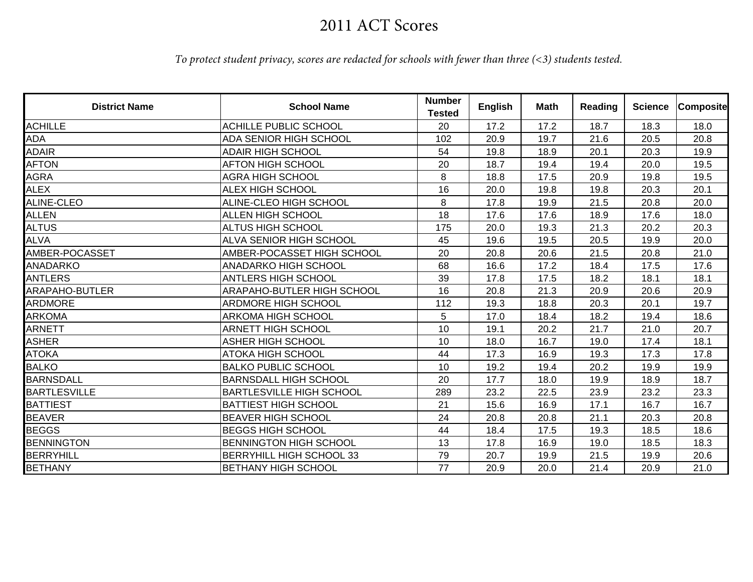## 2011 ACT Scores

## *To protect student privacy, scores are redacted for schools with fewer than three (<3) students tested.*

| <b>District Name</b>  | <b>School Name</b>                | <b>Number</b><br><b>Tested</b> | <b>English</b> | <b>Math</b> | Reading | <b>Science</b> | <b>Composite</b> |
|-----------------------|-----------------------------------|--------------------------------|----------------|-------------|---------|----------------|------------------|
| <b>ACHILLE</b>        | <b>ACHILLE PUBLIC SCHOOL</b>      | 20                             | 17.2           | 17.2        | 18.7    | 18.3           | 18.0             |
| <b>ADA</b>            | ADA SENIOR HIGH SCHOOL            | 102                            | 20.9           | 19.7        | 21.6    | 20.5           | 20.8             |
| <b>ADAIR</b>          | <b>ADAIR HIGH SCHOOL</b>          | 54                             | 19.8           | 18.9        | 20.1    | 20.3           | 19.9             |
| AFTON                 | <b>AFTON HIGH SCHOOL</b>          | 20                             | 18.7           | 19.4        | 19.4    | 20.0           | 19.5             |
| <b>AGRA</b>           | <b>AGRA HIGH SCHOOL</b>           | 8                              | 18.8           | 17.5        | 20.9    | 19.8           | 19.5             |
| <b>ALEX</b>           | <b>ALEX HIGH SCHOOL</b>           | 16                             | 20.0           | 19.8        | 19.8    | 20.3           | 20.1             |
| ALINE-CLEO            | ALINE-CLEO HIGH SCHOOL            | 8                              | 17.8           | 19.9        | 21.5    | 20.8           | 20.0             |
| <b>ALLEN</b>          | <b>ALLEN HIGH SCHOOL</b>          | 18                             | 17.6           | 17.6        | 18.9    | 17.6           | 18.0             |
| <b>ALTUS</b>          | <b>ALTUS HIGH SCHOOL</b>          | 175                            | 20.0           | 19.3        | 21.3    | 20.2           | 20.3             |
| <b>ALVA</b>           | <b>ALVA SENIOR HIGH SCHOOL</b>    | 45                             | 19.6           | 19.5        | 20.5    | 19.9           | 20.0             |
| AMBER-POCASSET        | AMBER-POCASSET HIGH SCHOOL        | 20                             | 20.8           | 20.6        | 21.5    | 20.8           | 21.0             |
| ANADARKO              | <b>ANADARKO HIGH SCHOOL</b>       | 68                             | 16.6           | 17.2        | 18.4    | 17.5           | 17.6             |
| <b>ANTLERS</b>        | <b>ANTLERS HIGH SCHOOL</b>        | 39                             | 17.8           | 17.5        | 18.2    | 18.1           | 18.1             |
| <b>ARAPAHO-BUTLER</b> | <b>ARAPAHO-BUTLER HIGH SCHOOL</b> | 16                             | 20.8           | 21.3        | 20.9    | 20.6           | 20.9             |
| <b>ARDMORE</b>        | ARDMORE HIGH SCHOOL               | 112                            | 19.3           | 18.8        | 20.3    | 20.1           | 19.7             |
| <b>ARKOMA</b>         | <b>ARKOMA HIGH SCHOOL</b>         | 5                              | 17.0           | 18.4        | 18.2    | 19.4           | 18.6             |
| <b>ARNETT</b>         | ARNETT HIGH SCHOOL                | 10                             | 19.1           | 20.2        | 21.7    | 21.0           | 20.7             |
| <b>ASHER</b>          | <b>ASHER HIGH SCHOOL</b>          | 10                             | 18.0           | 16.7        | 19.0    | 17.4           | 18.1             |
| <b>ATOKA</b>          | <b>ATOKA HIGH SCHOOL</b>          | 44                             | 17.3           | 16.9        | 19.3    | 17.3           | 17.8             |
| <b>BALKO</b>          | <b>BALKO PUBLIC SCHOOL</b>        | 10                             | 19.2           | 19.4        | 20.2    | 19.9           | 19.9             |
| <b>BARNSDALL</b>      | <b>BARNSDALL HIGH SCHOOL</b>      | 20                             | 17.7           | 18.0        | 19.9    | 18.9           | 18.7             |
| <b>BARTLESVILLE</b>   | <b>BARTLESVILLE HIGH SCHOOL</b>   | 289                            | 23.2           | 22.5        | 23.9    | 23.2           | 23.3             |
| <b>BATTIEST</b>       | <b>BATTIEST HIGH SCHOOL</b>       | 21                             | 15.6           | 16.9        | 17.1    | 16.7           | 16.7             |
| <b>BEAVER</b>         | <b>BEAVER HIGH SCHOOL</b>         | 24                             | 20.8           | 20.8        | 21.1    | 20.3           | 20.8             |
| <b>BEGGS</b>          | <b>BEGGS HIGH SCHOOL</b>          | 44                             | 18.4           | 17.5        | 19.3    | 18.5           | 18.6             |
| <b>BENNINGTON</b>     | <b>BENNINGTON HIGH SCHOOL</b>     | 13                             | 17.8           | 16.9        | 19.0    | 18.5           | 18.3             |
| <b>BERRYHILL</b>      | <b>BERRYHILL HIGH SCHOOL 33</b>   | 79                             | 20.7           | 19.9        | 21.5    | 19.9           | 20.6             |
| <b>BETHANY</b>        | BETHANY HIGH SCHOOL               | 77                             | 20.9           | 20.0        | 21.4    | 20.9           | 21.0             |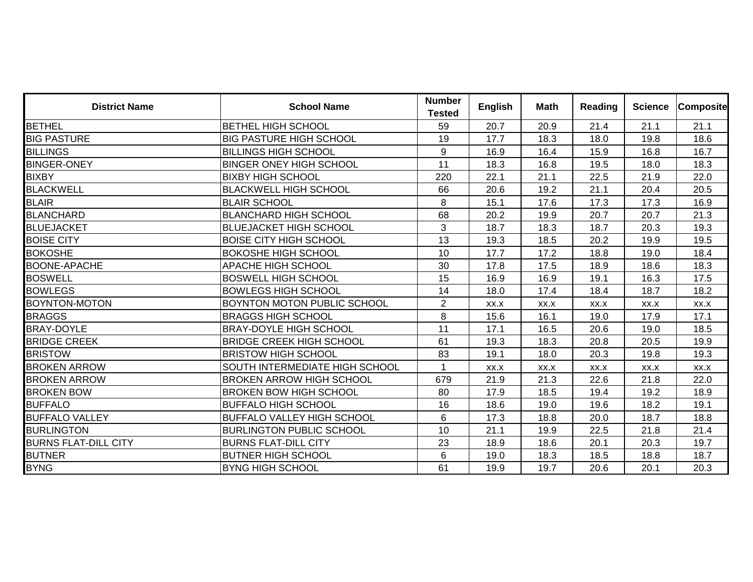| <b>District Name</b>        | <b>School Name</b>                    | <b>Number</b><br><b>Tested</b> | <b>English</b> | Math | Reading | <b>Science</b> | <b>Composite</b> |
|-----------------------------|---------------------------------------|--------------------------------|----------------|------|---------|----------------|------------------|
| <b>BETHEL</b>               | <b>BETHEL HIGH SCHOOL</b>             | 59                             | 20.7           | 20.9 | 21.4    | 21.1           | 21.1             |
| <b>BIG PASTURE</b>          | <b>BIG PASTURE HIGH SCHOOL</b>        | 19                             | 17.7           | 18.3 | 18.0    | 19.8           | 18.6             |
| <b>BILLINGS</b>             | <b>BILLINGS HIGH SCHOOL</b>           | 9                              | 16.9           | 16.4 | 15.9    | 16.8           | 16.7             |
| <b>BINGER-ONEY</b>          | <b>BINGER ONEY HIGH SCHOOL</b>        | 11                             | 18.3           | 16.8 | 19.5    | 18.0           | 18.3             |
| <b>BIXBY</b>                | <b>BIXBY HIGH SCHOOL</b>              | 220                            | 22.1           | 21.1 | 22.5    | 21.9           | 22.0             |
| <b>BLACKWELL</b>            | <b>BLACKWELL HIGH SCHOOL</b>          | 66                             | 20.6           | 19.2 | 21.1    | 20.4           | 20.5             |
| <b>BLAIR</b>                | <b>BLAIR SCHOOL</b>                   | 8                              | 15.1           | 17.6 | 17.3    | 17.3           | 16.9             |
| <b>BLANCHARD</b>            | <b>BLANCHARD HIGH SCHOOL</b>          | 68                             | 20.2           | 19.9 | 20.7    | 20.7           | 21.3             |
| <b>BLUEJACKET</b>           | <b>BLUEJACKET HIGH SCHOOL</b>         | 3                              | 18.7           | 18.3 | 18.7    | 20.3           | 19.3             |
| <b>BOISE CITY</b>           | <b>BOISE CITY HIGH SCHOOL</b>         | 13                             | 19.3           | 18.5 | 20.2    | 19.9           | 19.5             |
| <b>BOKOSHE</b>              | <b>BOKOSHE HIGH SCHOOL</b>            | 10                             | 17.7           | 17.2 | 18.8    | 19.0           | 18.4             |
| <b>BOONE-APACHE</b>         | <b>APACHE HIGH SCHOOL</b>             | 30                             | 17.8           | 17.5 | 18.9    | 18.6           | 18.3             |
| BOSWELL                     | <b>BOSWELL HIGH SCHOOL</b>            | 15                             | 16.9           | 16.9 | 19.1    | 16.3           | 17.5             |
| <b>BOWLEGS</b>              | <b>BOWLEGS HIGH SCHOOL</b>            | 14                             | 18.0           | 17.4 | 18.4    | 18.7           | 18.2             |
| BOYNTON-MOTON               | <b>BOYNTON MOTON PUBLIC SCHOOL</b>    | $\overline{2}$                 | XX.X           | XX.X | XX.X    | XX.X           | XX.X             |
| <b>BRAGGS</b>               | <b>BRAGGS HIGH SCHOOL</b>             | 8                              | 15.6           | 16.1 | 19.0    | 17.9           | 17.1             |
| <b>BRAY-DOYLE</b>           | <b>BRAY-DOYLE HIGH SCHOOL</b>         | 11                             | 17.1           | 16.5 | 20.6    | 19.0           | 18.5             |
| <b>BRIDGE CREEK</b>         | <b>BRIDGE CREEK HIGH SCHOOL</b>       | 61                             | 19.3           | 18.3 | 20.8    | 20.5           | 19.9             |
| <b>BRISTOW</b>              | <b>BRISTOW HIGH SCHOOL</b>            | 83                             | 19.1           | 18.0 | 20.3    | 19.8           | 19.3             |
| <b>BROKEN ARROW</b>         | <b>SOUTH INTERMEDIATE HIGH SCHOOL</b> | $\overline{1}$                 | XX.X           | XX.X | XX.X    | XX.X           | XX.X             |
| <b>BROKEN ARROW</b>         | <b>BROKEN ARROW HIGH SCHOOL</b>       | 679                            | 21.9           | 21.3 | 22.6    | 21.8           | 22.0             |
| <b>BROKEN BOW</b>           | <b>BROKEN BOW HIGH SCHOOL</b>         | 80                             | 17.9           | 18.5 | 19.4    | 19.2           | 18.9             |
| <b>BUFFALO</b>              | <b>BUFFALO HIGH SCHOOL</b>            | 16                             | 18.6           | 19.0 | 19.6    | 18.2           | 19.1             |
| <b>BUFFALO VALLEY</b>       | <b>BUFFALO VALLEY HIGH SCHOOL</b>     | 6                              | 17.3           | 18.8 | 20.0    | 18.7           | 18.8             |
| <b>BURLINGTON</b>           | <b>BURLINGTON PUBLIC SCHOOL</b>       | 10                             | 21.1           | 19.9 | 22.5    | 21.8           | 21.4             |
| <b>BURNS FLAT-DILL CITY</b> | <b>BURNS FLAT-DILL CITY</b>           | 23                             | 18.9           | 18.6 | 20.1    | 20.3           | 19.7             |
| <b>BUTNER</b>               | <b>BUTNER HIGH SCHOOL</b>             | 6                              | 19.0           | 18.3 | 18.5    | 18.8           | 18.7             |
| <b>BYNG</b>                 | <b>BYNG HIGH SCHOOL</b>               | 61                             | 19.9           | 19.7 | 20.6    | 20.1           | 20.3             |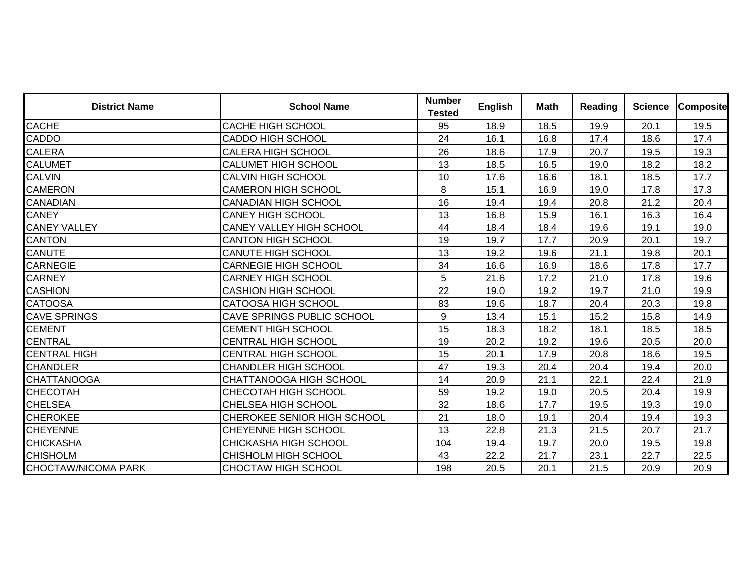| <b>District Name</b> | <b>School Name</b>                 | <b>Number</b><br><b>Tested</b> | <b>English</b> | <b>Math</b> | <b>Reading</b> | <b>Science</b> | <b>Composite</b> |
|----------------------|------------------------------------|--------------------------------|----------------|-------------|----------------|----------------|------------------|
| CACHE                | <b>CACHE HIGH SCHOOL</b>           | 95                             | 18.9           | 18.5        | 19.9           | 20.1           | 19.5             |
| CADDO                | <b>CADDO HIGH SCHOOL</b>           | 24                             | 16.1           | 16.8        | 17.4           | 18.6           | 17.4             |
| CALERA               | <b>CALERA HIGH SCHOOL</b>          | 26                             | 18.6           | 17.9        | 20.7           | 19.5           | 19.3             |
| <b>CALUMET</b>       | CALUMET HIGH SCHOOL                | 13                             | 18.5           | 16.5        | 19.0           | 18.2           | 18.2             |
| <b>CALVIN</b>        | <b>CALVIN HIGH SCHOOL</b>          | 10                             | 17.6           | 16.6        | 18.1           | 18.5           | 17.7             |
| <b>CAMERON</b>       | <b>CAMERON HIGH SCHOOL</b>         | 8                              | 15.1           | 16.9        | 19.0           | 17.8           | 17.3             |
| CANADIAN             | <b>CANADIAN HIGH SCHOOL</b>        | 16                             | 19.4           | 19.4        | 20.8           | 21.2           | 20.4             |
| <b>CANEY</b>         | <b>CANEY HIGH SCHOOL</b>           | 13                             | 16.8           | 15.9        | 16.1           | 16.3           | 16.4             |
| <b>CANEY VALLEY</b>  | <b>CANEY VALLEY HIGH SCHOOL</b>    | 44                             | 18.4           | 18.4        | 19.6           | 19.1           | 19.0             |
| <b>CANTON</b>        | <b>CANTON HIGH SCHOOL</b>          | 19                             | 19.7           | 17.7        | 20.9           | 20.1           | 19.7             |
| CANUTE               | <b>CANUTE HIGH SCHOOL</b>          | 13                             | 19.2           | 19.6        | 21.1           | 19.8           | 20.1             |
| <b>CARNEGIE</b>      | <b>CARNEGIE HIGH SCHOOL</b>        | 34                             | 16.6           | 16.9        | 18.6           | 17.8           | 17.7             |
| <b>CARNEY</b>        | <b>CARNEY HIGH SCHOOL</b>          | 5                              | 21.6           | 17.2        | 21.0           | 17.8           | 19.6             |
| <b>CASHION</b>       | <b>CASHION HIGH SCHOOL</b>         | 22                             | 19.0           | 19.2        | 19.7           | 21.0           | 19.9             |
| <b>CATOOSA</b>       | <b>CATOOSA HIGH SCHOOL</b>         | 83                             | 19.6           | 18.7        | 20.4           | 20.3           | 19.8             |
| CAVE SPRINGS         | <b>CAVE SPRINGS PUBLIC SCHOOL</b>  | 9                              | 13.4           | 15.1        | 15.2           | 15.8           | 14.9             |
| <b>CEMENT</b>        | <b>CEMENT HIGH SCHOOL</b>          | 15                             | 18.3           | 18.2        | 18.1           | 18.5           | 18.5             |
| <b>CENTRAL</b>       | <b>CENTRAL HIGH SCHOOL</b>         | 19                             | 20.2           | 19.2        | 19.6           | 20.5           | 20.0             |
| <b>CENTRAL HIGH</b>  | <b>CENTRAL HIGH SCHOOL</b>         | 15                             | 20.1           | 17.9        | 20.8           | 18.6           | 19.5             |
| <b>CHANDLER</b>      | <b>CHANDLER HIGH SCHOOL</b>        | 47                             | 19.3           | 20.4        | 20.4           | 19.4           | 20.0             |
| <b>CHATTANOOGA</b>   | CHATTANOOGA HIGH SCHOOL            | 14                             | 20.9           | 21.1        | 22.1           | 22.4           | 21.9             |
| CHECOTAH             | <b>CHECOTAH HIGH SCHOOL</b>        | 59                             | 19.2           | 19.0        | 20.5           | 20.4           | 19.9             |
| <b>CHELSEA</b>       | <b>CHELSEA HIGH SCHOOL</b>         | 32                             | 18.6           | 17.7        | 19.5           | 19.3           | 19.0             |
| <b>CHEROKEE</b>      | <b>CHEROKEE SENIOR HIGH SCHOOL</b> | 21                             | 18.0           | 19.1        | 20.4           | 19.4           | 19.3             |
| <b>CHEYENNE</b>      | <b>CHEYENNE HIGH SCHOOL</b>        | 13                             | 22.8           | 21.3        | 21.5           | 20.7           | 21.7             |
| CHICKASHA            | <b>CHICKASHA HIGH SCHOOL</b>       | 104                            | 19.4           | 19.7        | 20.0           | 19.5           | 19.8             |
| <b>CHISHOLM</b>      | CHISHOLM HIGH SCHOOL               | 43                             | 22.2           | 21.7        | 23.1           | 22.7           | 22.5             |
| CHOCTAW/NICOMA PARK  | <b>CHOCTAW HIGH SCHOOL</b>         | 198                            | 20.5           | 20.1        | 21.5           | 20.9           | 20.9             |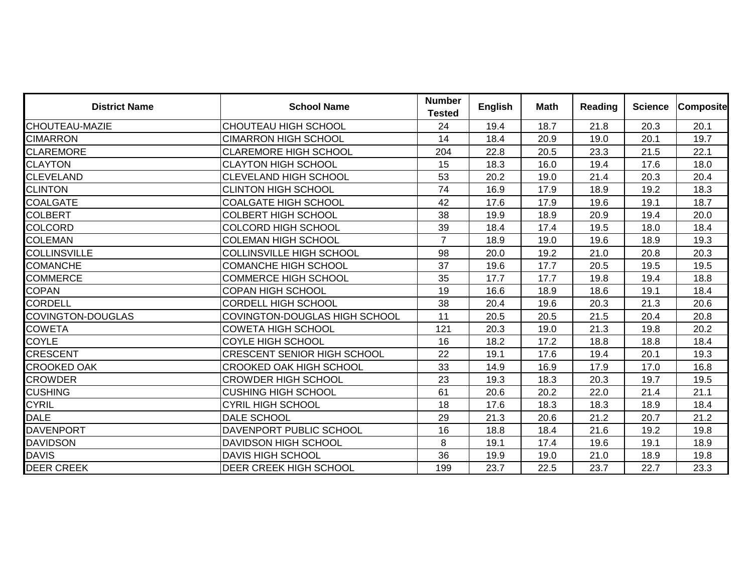| <b>District Name</b>     | <b>School Name</b>                   | <b>Number</b><br><b>Tested</b> | <b>English</b> | <b>Math</b> | <b>Reading</b> | <b>Science</b> | <b>Composite</b> |
|--------------------------|--------------------------------------|--------------------------------|----------------|-------------|----------------|----------------|------------------|
| CHOUTEAU-MAZIE           | CHOUTEAU HIGH SCHOOL                 | 24                             | 19.4           | 18.7        | 21.8           | 20.3           | 20.1             |
| <b>CIMARRON</b>          | <b>CIMARRON HIGH SCHOOL</b>          | 14                             | 18.4           | 20.9        | 19.0           | 20.1           | 19.7             |
| <b>CLAREMORE</b>         | <b>CLAREMORE HIGH SCHOOL</b>         | 204                            | 22.8           | 20.5        | 23.3           | 21.5           | 22.1             |
| <b>CLAYTON</b>           | <b>CLAYTON HIGH SCHOOL</b>           | 15                             | 18.3           | 16.0        | 19.4           | 17.6           | 18.0             |
| <b>CLEVELAND</b>         | <b>CLEVELAND HIGH SCHOOL</b>         | 53                             | 20.2           | 19.0        | 21.4           | 20.3           | 20.4             |
| <b>CLINTON</b>           | <b>CLINTON HIGH SCHOOL</b>           | 74                             | 16.9           | 17.9        | 18.9           | 19.2           | 18.3             |
| <b>COALGATE</b>          | <b>COALGATE HIGH SCHOOL</b>          | 42                             | 17.6           | 17.9        | 19.6           | 19.1           | 18.7             |
| <b>COLBERT</b>           | <b>COLBERT HIGH SCHOOL</b>           | 38                             | 19.9           | 18.9        | 20.9           | 19.4           | 20.0             |
| <b>COLCORD</b>           | <b>COLCORD HIGH SCHOOL</b>           | 39                             | 18.4           | 17.4        | 19.5           | 18.0           | 18.4             |
| <b>COLEMAN</b>           | <b>COLEMAN HIGH SCHOOL</b>           | $\overline{7}$                 | 18.9           | 19.0        | 19.6           | 18.9           | 19.3             |
| <b>COLLINSVILLE</b>      | <b>COLLINSVILLE HIGH SCHOOL</b>      | 98                             | 20.0           | 19.2        | 21.0           | 20.8           | 20.3             |
| <b>COMANCHE</b>          | <b>COMANCHE HIGH SCHOOL</b>          | 37                             | 19.6           | 17.7        | 20.5           | 19.5           | 19.5             |
| <b>COMMERCE</b>          | <b>COMMERCE HIGH SCHOOL</b>          | 35                             | 17.7           | 17.7        | 19.8           | 19.4           | 18.8             |
| <b>COPAN</b>             | <b>COPAN HIGH SCHOOL</b>             | 19                             | 16.6           | 18.9        | 18.6           | 19.1           | 18.4             |
| <b>CORDELL</b>           | <b>CORDELL HIGH SCHOOL</b>           | 38                             | 20.4           | 19.6        | 20.3           | 21.3           | 20.6             |
| <b>COVINGTON-DOUGLAS</b> | <b>COVINGTON-DOUGLAS HIGH SCHOOL</b> | 11                             | 20.5           | 20.5        | 21.5           | 20.4           | 20.8             |
| <b>COWETA</b>            | <b>COWETA HIGH SCHOOL</b>            | 121                            | 20.3           | 19.0        | 21.3           | 19.8           | 20.2             |
| <b>COYLE</b>             | COYLE HIGH SCHOOL                    | 16                             | 18.2           | 17.2        | 18.8           | 18.8           | 18.4             |
| <b>CRESCENT</b>          | <b>CRESCENT SENIOR HIGH SCHOOL</b>   | 22                             | 19.1           | 17.6        | 19.4           | 20.1           | 19.3             |
| <b>CROOKED OAK</b>       | <b>CROOKED OAK HIGH SCHOOL</b>       | 33                             | 14.9           | 16.9        | 17.9           | 17.0           | 16.8             |
| <b>CROWDER</b>           | <b>CROWDER HIGH SCHOOL</b>           | 23                             | 19.3           | 18.3        | 20.3           | 19.7           | 19.5             |
| <b>CUSHING</b>           | <b>CUSHING HIGH SCHOOL</b>           | 61                             | 20.6           | 20.2        | 22.0           | 21.4           | 21.1             |
| <b>CYRIL</b>             | <b>CYRIL HIGH SCHOOL</b>             | 18                             | 17.6           | 18.3        | 18.3           | 18.9           | 18.4             |
| <b>DALE</b>              | DALE SCHOOL                          | 29                             | 21.3           | 20.6        | 21.2           | 20.7           | 21.2             |
| <b>DAVENPORT</b>         | DAVENPORT PUBLIC SCHOOL              | 16                             | 18.8           | 18.4        | 21.6           | 19.2           | 19.8             |
| <b>DAVIDSON</b>          | <b>DAVIDSON HIGH SCHOOL</b>          | 8                              | 19.1           | 17.4        | 19.6           | 19.1           | 18.9             |
| <b>DAVIS</b>             | <b>DAVIS HIGH SCHOOL</b>             | 36                             | 19.9           | 19.0        | 21.0           | 18.9           | 19.8             |
| <b>DEER CREEK</b>        | DEER CREEK HIGH SCHOOL               | 199                            | 23.7           | 22.5        | 23.7           | 22.7           | 23.3             |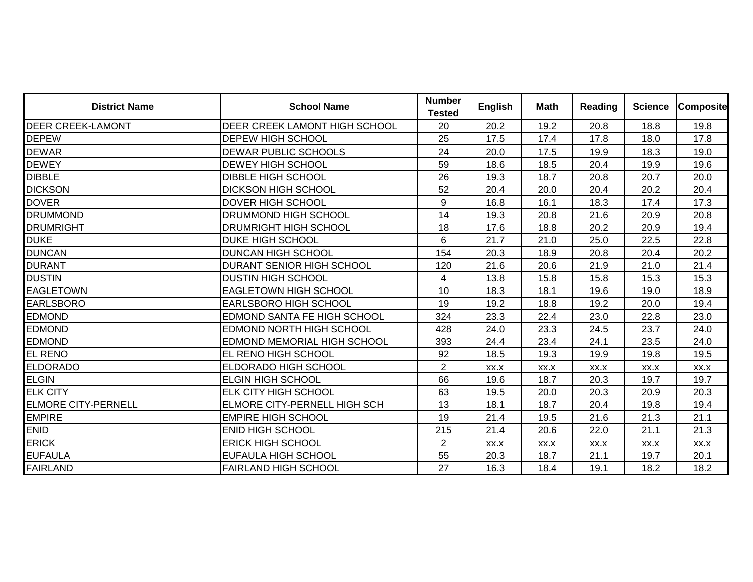| <b>District Name</b>       | <b>School Name</b>                   | <b>Number</b><br><b>Tested</b> | <b>English</b> | Math | <b>Reading</b> | <b>Science</b> | <b>Composite</b> |
|----------------------------|--------------------------------------|--------------------------------|----------------|------|----------------|----------------|------------------|
| <b>DEER CREEK-LAMONT</b>   | <b>DEER CREEK LAMONT HIGH SCHOOL</b> | 20                             | 20.2           | 19.2 | 20.8           | 18.8           | 19.8             |
| <b>DEPEW</b>               | <b>DEPEW HIGH SCHOOL</b>             | 25                             | 17.5           | 17.4 | 17.8           | 18.0           | 17.8             |
| <b>DEWAR</b>               | <b>DEWAR PUBLIC SCHOOLS</b>          | 24                             | 20.0           | 17.5 | 19.9           | 18.3           | 19.0             |
| <b>DEWEY</b>               | <b>DEWEY HIGH SCHOOL</b>             | 59                             | 18.6           | 18.5 | 20.4           | 19.9           | 19.6             |
| <b>DIBBLE</b>              | <b>DIBBLE HIGH SCHOOL</b>            | 26                             | 19.3           | 18.7 | 20.8           | 20.7           | 20.0             |
| <b>DICKSON</b>             | <b>DICKSON HIGH SCHOOL</b>           | 52                             | 20.4           | 20.0 | 20.4           | 20.2           | 20.4             |
| <b>DOVER</b>               | <b>DOVER HIGH SCHOOL</b>             | 9                              | 16.8           | 16.1 | 18.3           | 17.4           | 17.3             |
| <b>DRUMMOND</b>            | <b>DRUMMOND HIGH SCHOOL</b>          | 14                             | 19.3           | 20.8 | 21.6           | 20.9           | 20.8             |
| <b>DRUMRIGHT</b>           | <b>DRUMRIGHT HIGH SCHOOL</b>         | 18                             | 17.6           | 18.8 | 20.2           | 20.9           | 19.4             |
| <b>DUKE</b>                | IDUKE HIGH SCHOOL                    | 6                              | 21.7           | 21.0 | 25.0           | 22.5           | 22.8             |
| <b>DUNCAN</b>              | <b>DUNCAN HIGH SCHOOL</b>            | 154                            | 20.3           | 18.9 | 20.8           | 20.4           | 20.2             |
| <b>DURANT</b>              | <b>DURANT SENIOR HIGH SCHOOL</b>     | 120                            | 21.6           | 20.6 | 21.9           | 21.0           | 21.4             |
| <b>DUSTIN</b>              | <b>DUSTIN HIGH SCHOOL</b>            | 4                              | 13.8           | 15.8 | 15.8           | 15.3           | 15.3             |
| <b>EAGLETOWN</b>           | <b>EAGLETOWN HIGH SCHOOL</b>         | 10                             | 18.3           | 18.1 | 19.6           | 19.0           | 18.9             |
| <b>EARLSBORO</b>           | <b>EARLSBORO HIGH SCHOOL</b>         | 19                             | 19.2           | 18.8 | 19.2           | 20.0           | 19.4             |
| <b>EDMOND</b>              | <b>EDMOND SANTA FE HIGH SCHOOL</b>   | 324                            | 23.3           | 22.4 | 23.0           | 22.8           | 23.0             |
| <b>EDMOND</b>              | EDMOND NORTH HIGH SCHOOL             | 428                            | 24.0           | 23.3 | 24.5           | 23.7           | 24.0             |
| <b>EDMOND</b>              | <b>EDMOND MEMORIAL HIGH SCHOOL</b>   | 393                            | 24.4           | 23.4 | 24.1           | 23.5           | 24.0             |
| EL RENO                    | <b>EL RENO HIGH SCHOOL</b>           | 92                             | 18.5           | 19.3 | 19.9           | 19.8           | 19.5             |
| <b>ELDORADO</b>            | <b>ELDORADO HIGH SCHOOL</b>          | $\overline{2}$                 | XX.X           | XX.X | XX.X           | XX.X           | XX.X             |
| <b>ELGIN</b>               | <b>ELGIN HIGH SCHOOL</b>             | 66                             | 19.6           | 18.7 | 20.3           | 19.7           | 19.7             |
| <b>ELK CITY</b>            | <b>ELK CITY HIGH SCHOOL</b>          | 63                             | 19.5           | 20.0 | 20.3           | 20.9           | 20.3             |
| <b>ELMORE CITY-PERNELL</b> | <b>ELMORE CITY-PERNELL HIGH SCH</b>  | 13                             | 18.1           | 18.7 | 20.4           | 19.8           | 19.4             |
| <b>EMPIRE</b>              | <b>EMPIRE HIGH SCHOOL</b>            | 19                             | 21.4           | 19.5 | 21.6           | 21.3           | 21.1             |
| <b>ENID</b>                | <b>ENID HIGH SCHOOL</b>              | 215                            | 21.4           | 20.6 | 22.0           | 21.1           | 21.3             |
| <b>ERICK</b>               | <b>ERICK HIGH SCHOOL</b>             | $\overline{2}$                 | XX.X           | XX.X | XX.X           | XX.X           | XX.X             |
| <b>EUFAULA</b>             | <b>EUFAULA HIGH SCHOOL</b>           | 55                             | 20.3           | 18.7 | 21.1           | 19.7           | 20.1             |
| <b>FAIRLAND</b>            | <b>FAIRLAND HIGH SCHOOL</b>          | 27                             | 16.3           | 18.4 | 19.1           | 18.2           | 18.2             |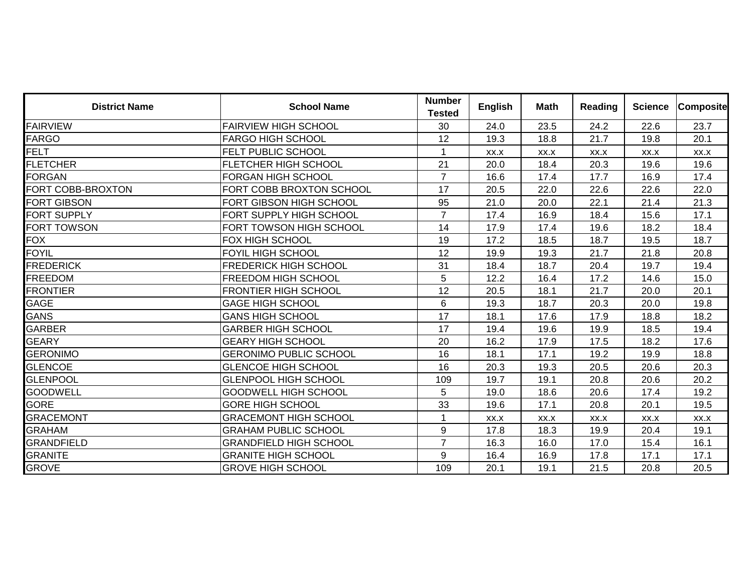| <b>District Name</b> | <b>School Name</b>            | <b>Number</b><br><b>Tested</b> | <b>English</b> | <b>Math</b> | <b>Reading</b> | <b>Science</b> | <b>Composite</b> |
|----------------------|-------------------------------|--------------------------------|----------------|-------------|----------------|----------------|------------------|
| <b>FAIRVIEW</b>      | <b>FAIRVIEW HIGH SCHOOL</b>   | 30                             | 24.0           | 23.5        | 24.2           | 22.6           | 23.7             |
| <b>FARGO</b>         | <b>FARGO HIGH SCHOOL</b>      | 12                             | 19.3           | 18.8        | 21.7           | 19.8           | 20.1             |
| <b>FELT</b>          | FELT PUBLIC SCHOOL            | $\mathbf{1}$                   | XX.X           | XX.X        | XX.X           | XX.X           | XX.X             |
| <b>FLETCHER</b>      | <b>FLETCHER HIGH SCHOOL</b>   | 21                             | 20.0           | 18.4        | 20.3           | 19.6           | 19.6             |
| <b>FORGAN</b>        | <b>FORGAN HIGH SCHOOL</b>     | $\overline{7}$                 | 16.6           | 17.4        | 17.7           | 16.9           | 17.4             |
| FORT COBB-BROXTON    | FORT COBB BROXTON SCHOOL      | 17                             | 20.5           | 22.0        | 22.6           | 22.6           | 22.0             |
| <b>FORT GIBSON</b>   | FORT GIBSON HIGH SCHOOL       | 95                             | 21.0           | 20.0        | 22.1           | 21.4           | 21.3             |
| FORT SUPPLY          | FORT SUPPLY HIGH SCHOOL       | $\overline{7}$                 | 17.4           | 16.9        | 18.4           | 15.6           | 17.1             |
| FORT TOWSON          | FORT TOWSON HIGH SCHOOL       | 14                             | 17.9           | 17.4        | 19.6           | 18.2           | 18.4             |
| FOX                  | <b>FOX HIGH SCHOOL</b>        | 19                             | 17.2           | 18.5        | 18.7           | 19.5           | 18.7             |
| <b>FOYIL</b>         | <b>FOYIL HIGH SCHOOL</b>      | 12                             | 19.9           | 19.3        | 21.7           | 21.8           | 20.8             |
| <b>FREDERICK</b>     | <b>FREDERICK HIGH SCHOOL</b>  | 31                             | 18.4           | 18.7        | 20.4           | 19.7           | 19.4             |
| <b>FREEDOM</b>       | <b>FREEDOM HIGH SCHOOL</b>    | 5                              | 12.2           | 16.4        | 17.2           | 14.6           | 15.0             |
| <b>FRONTIER</b>      | <b>FRONTIER HIGH SCHOOL</b>   | 12                             | 20.5           | 18.1        | 21.7           | 20.0           | 20.1             |
| GAGE                 | <b>GAGE HIGH SCHOOL</b>       | 6                              | 19.3           | 18.7        | 20.3           | 20.0           | 19.8             |
| GANS                 | <b>GANS HIGH SCHOOL</b>       | 17                             | 18.1           | 17.6        | 17.9           | 18.8           | 18.2             |
| <b>GARBER</b>        | <b>GARBER HIGH SCHOOL</b>     | 17                             | 19.4           | 19.6        | 19.9           | 18.5           | 19.4             |
| <b>GEARY</b>         | <b>GEARY HIGH SCHOOL</b>      | 20                             | 16.2           | 17.9        | 17.5           | 18.2           | 17.6             |
| <b>GERONIMO</b>      | <b>GERONIMO PUBLIC SCHOOL</b> | 16                             | 18.1           | 17.1        | 19.2           | 19.9           | 18.8             |
| <b>GLENCOE</b>       | <b>GLENCOE HIGH SCHOOL</b>    | 16                             | 20.3           | 19.3        | 20.5           | 20.6           | 20.3             |
| <b>GLENPOOL</b>      | <b>GLENPOOL HIGH SCHOOL</b>   | 109                            | 19.7           | 19.1        | 20.8           | 20.6           | 20.2             |
| <b>GOODWELL</b>      | <b>GOODWELL HIGH SCHOOL</b>   | 5                              | 19.0           | 18.6        | 20.6           | 17.4           | 19.2             |
| <b>GORE</b>          | <b>GORE HIGH SCHOOL</b>       | 33                             | 19.6           | 17.1        | 20.8           | 20.1           | 19.5             |
| <b>GRACEMONT</b>     | <b>GRACEMONT HIGH SCHOOL</b>  | $\mathbf{1}$                   | XX.X           | XX.X        | XX.X           | XX.X           | XX.X             |
| GRAHAM               | <b>GRAHAM PUBLIC SCHOOL</b>   | 9                              | 17.8           | 18.3        | 19.9           | 20.4           | 19.1             |
| <b>GRANDFIELD</b>    | <b>GRANDFIELD HIGH SCHOOL</b> | $\overline{7}$                 | 16.3           | 16.0        | 17.0           | 15.4           | 16.1             |
| <b>GRANITE</b>       | <b>GRANITE HIGH SCHOOL</b>    | 9                              | 16.4           | 16.9        | 17.8           | 17.1           | 17.1             |
| <b>GROVE</b>         | <b>GROVE HIGH SCHOOL</b>      | 109                            | 20.1           | 19.1        | 21.5           | 20.8           | 20.5             |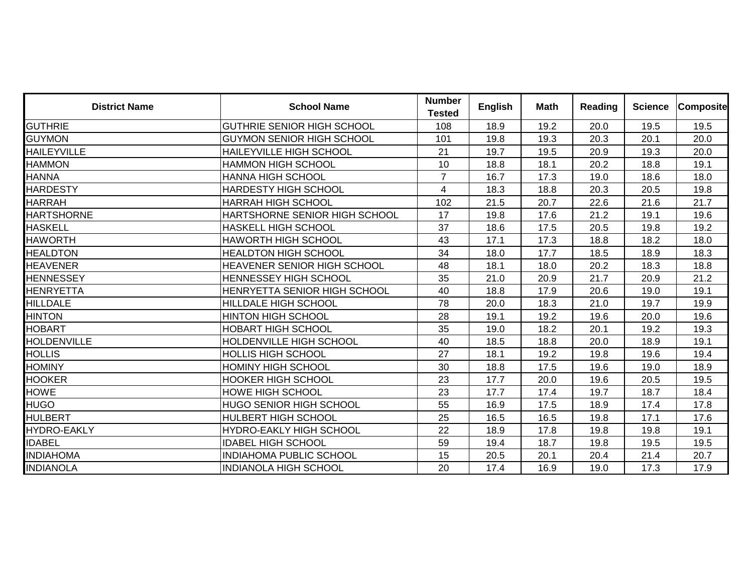| <b>District Name</b> | <b>School Name</b>                 | <b>Number</b><br><b>Tested</b> | <b>English</b> | <b>Math</b> | <b>Reading</b> | <b>Science</b> | <b>Composite</b> |
|----------------------|------------------------------------|--------------------------------|----------------|-------------|----------------|----------------|------------------|
| <b>GUTHRIE</b>       | <b>GUTHRIE SENIOR HIGH SCHOOL</b>  | 108                            | 18.9           | 19.2        | 20.0           | 19.5           | 19.5             |
| <b>GUYMON</b>        | <b>GUYMON SENIOR HIGH SCHOOL</b>   | 101                            | 19.8           | 19.3        | 20.3           | 20.1           | 20.0             |
| <b>HAILEYVILLE</b>   | <b>HAILEYVILLE HIGH SCHOOL</b>     | 21                             | 19.7           | 19.5        | 20.9           | 19.3           | 20.0             |
| <b>HAMMON</b>        | <b>HAMMON HIGH SCHOOL</b>          | 10                             | 18.8           | 18.1        | 20.2           | 18.8           | 19.1             |
| <b>HANNA</b>         | <b>HANNA HIGH SCHOOL</b>           | $\overline{7}$                 | 16.7           | 17.3        | 19.0           | 18.6           | 18.0             |
| <b>HARDESTY</b>      | <b>HARDESTY HIGH SCHOOL</b>        | $\overline{4}$                 | 18.3           | 18.8        | 20.3           | 20.5           | 19.8             |
| <b>HARRAH</b>        | <b>HARRAH HIGH SCHOOL</b>          | 102                            | 21.5           | 20.7        | 22.6           | 21.6           | 21.7             |
| <b>HARTSHORNE</b>    | HARTSHORNE SENIOR HIGH SCHOOL      | 17                             | 19.8           | 17.6        | 21.2           | 19.1           | 19.6             |
| <b>HASKELL</b>       | <b>HASKELL HIGH SCHOOL</b>         | 37                             | 18.6           | 17.5        | 20.5           | 19.8           | 19.2             |
| <b>HAWORTH</b>       | <b>HAWORTH HIGH SCHOOL</b>         | 43                             | 17.1           | 17.3        | 18.8           | 18.2           | 18.0             |
| <b>HEALDTON</b>      | <b>HEALDTON HIGH SCHOOL</b>        | 34                             | 18.0           | 17.7        | 18.5           | 18.9           | 18.3             |
| <b>HEAVENER</b>      | <b>HEAVENER SENIOR HIGH SCHOOL</b> | 48                             | 18.1           | 18.0        | 20.2           | 18.3           | 18.8             |
| <b>HENNESSEY</b>     | <b>HENNESSEY HIGH SCHOOL</b>       | 35                             | 21.0           | 20.9        | 21.7           | 20.9           | 21.2             |
| HENRYETTA            | HENRYETTA SENIOR HIGH SCHOOL       | 40                             | 18.8           | 17.9        | 20.6           | 19.0           | 19.1             |
| HILLDALE             | <b>HILLDALE HIGH SCHOOL</b>        | 78                             | 20.0           | 18.3        | 21.0           | 19.7           | 19.9             |
| <b>HINTON</b>        | <b>HINTON HIGH SCHOOL</b>          | 28                             | 19.1           | 19.2        | 19.6           | 20.0           | 19.6             |
| <b>HOBART</b>        | <b>HOBART HIGH SCHOOL</b>          | 35                             | 19.0           | 18.2        | 20.1           | 19.2           | 19.3             |
| <b>HOLDENVILLE</b>   | <b>HOLDENVILLE HIGH SCHOOL</b>     | 40                             | 18.5           | 18.8        | 20.0           | 18.9           | 19.1             |
| <b>HOLLIS</b>        | <b>HOLLIS HIGH SCHOOL</b>          | 27                             | 18.1           | 19.2        | 19.8           | 19.6           | 19.4             |
| <b>HOMINY</b>        | <b>HOMINY HIGH SCHOOL</b>          | 30                             | 18.8           | 17.5        | 19.6           | 19.0           | 18.9             |
| <b>HOOKER</b>        | <b>HOOKER HIGH SCHOOL</b>          | 23                             | 17.7           | 20.0        | 19.6           | 20.5           | 19.5             |
| <b>HOWE</b>          | <b>HOWE HIGH SCHOOL</b>            | 23                             | 17.7           | 17.4        | 19.7           | 18.7           | 18.4             |
| <b>HUGO</b>          | <b>HUGO SENIOR HIGH SCHOOL</b>     | 55                             | 16.9           | 17.5        | 18.9           | 17.4           | 17.8             |
| <b>HULBERT</b>       | <b>HULBERT HIGH SCHOOL</b>         | 25                             | 16.5           | 16.5        | 19.8           | 17.1           | 17.6             |
| <b>HYDRO-EAKLY</b>   | <b>HYDRO-EAKLY HIGH SCHOOL</b>     | 22                             | 18.9           | 17.8        | 19.8           | 19.8           | 19.1             |
| <b>IDABEL</b>        | <b>IDABEL HIGH SCHOOL</b>          | 59                             | 19.4           | 18.7        | 19.8           | 19.5           | 19.5             |
| <b>INDIAHOMA</b>     | <b>INDIAHOMA PUBLIC SCHOOL</b>     | 15                             | 20.5           | 20.1        | 20.4           | 21.4           | 20.7             |
| <b>INDIANOLA</b>     | <b>INDIANOLA HIGH SCHOOL</b>       | 20                             | 17.4           | 16.9        | 19.0           | 17.3           | 17.9             |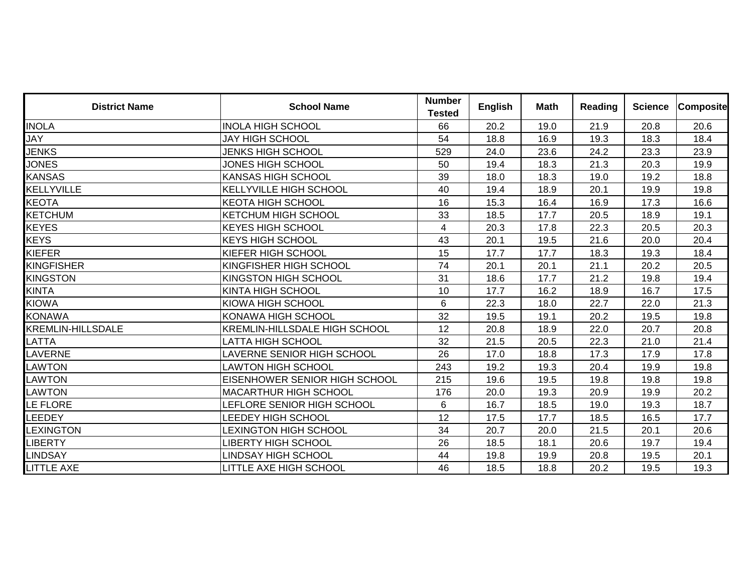| <b>District Name</b> | <b>School Name</b>                   | <b>Number</b><br><b>Tested</b> | <b>English</b> | <b>Math</b> | <b>Reading</b> | <b>Science</b> | <b>Composite</b> |
|----------------------|--------------------------------------|--------------------------------|----------------|-------------|----------------|----------------|------------------|
| <b>INOLA</b>         | <b>INOLA HIGH SCHOOL</b>             | 66                             | 20.2           | 19.0        | 21.9           | 20.8           | 20.6             |
| JAY                  | JAY HIGH SCHOOL                      | 54                             | 18.8           | 16.9        | 19.3           | 18.3           | 18.4             |
| <b>JENKS</b>         | <b>JENKS HIGH SCHOOL</b>             | 529                            | 24.0           | 23.6        | 24.2           | 23.3           | 23.9             |
| <b>JONES</b>         | JONES HIGH SCHOOL                    | 50                             | 19.4           | 18.3        | 21.3           | 20.3           | 19.9             |
| <b>KANSAS</b>        | <b>KANSAS HIGH SCHOOL</b>            | 39                             | 18.0           | 18.3        | 19.0           | 19.2           | 18.8             |
| KELLYVILLE           | <b>KELLYVILLE HIGH SCHOOL</b>        | 40                             | 19.4           | 18.9        | 20.1           | 19.9           | 19.8             |
| <b>KEOTA</b>         | <b>KEOTA HIGH SCHOOL</b>             | 16                             | 15.3           | 16.4        | 16.9           | 17.3           | 16.6             |
| KETCHUM              | <b>KETCHUM HIGH SCHOOL</b>           | 33                             | 18.5           | 17.7        | 20.5           | 18.9           | 19.1             |
| <b>KEYES</b>         | <b>KEYES HIGH SCHOOL</b>             | $\overline{4}$                 | 20.3           | 17.8        | 22.3           | 20.5           | 20.3             |
| <b>KEYS</b>          | <b>KEYS HIGH SCHOOL</b>              | 43                             | 20.1           | 19.5        | 21.6           | 20.0           | 20.4             |
| KIEFER               | <b>KIEFER HIGH SCHOOL</b>            | 15                             | 17.7           | 17.7        | 18.3           | 19.3           | 18.4             |
| KINGFISHER           | KINGFISHER HIGH SCHOOL               | 74                             | 20.1           | 20.1        | 21.1           | 20.2           | 20.5             |
| <b>KINGSTON</b>      | <b>KINGSTON HIGH SCHOOL</b>          | 31                             | 18.6           | 17.7        | 21.2           | 19.8           | 19.4             |
| <b>KINTA</b>         | <b>KINTA HIGH SCHOOL</b>             | 10                             | 17.7           | 16.2        | 18.9           | 16.7           | 17.5             |
| <b>KIOWA</b>         | <b>KIOWA HIGH SCHOOL</b>             | 6                              | 22.3           | 18.0        | 22.7           | 22.0           | 21.3             |
| <b>KONAWA</b>        | <b>KONAWA HIGH SCHOOL</b>            | 32                             | 19.5           | 19.1        | 20.2           | 19.5           | 19.8             |
| KREMLIN-HILLSDALE    | <b>KREMLIN-HILLSDALE HIGH SCHOOL</b> | 12                             | 20.8           | 18.9        | 22.0           | 20.7           | 20.8             |
| LATTA                | LATTA HIGH SCHOOL                    | 32                             | 21.5           | 20.5        | 22.3           | 21.0           | 21.4             |
| LAVERNE              | <b>AVERNE SENIOR HIGH SCHOOL</b>     | 26                             | 17.0           | 18.8        | 17.3           | 17.9           | 17.8             |
| <b>LAWTON</b>        | <b>LAWTON HIGH SCHOOL</b>            | 243                            | 19.2           | 19.3        | 20.4           | 19.9           | 19.8             |
| LAWTON               | EISENHOWER SENIOR HIGH SCHOOL        | 215                            | 19.6           | 19.5        | 19.8           | 19.8           | 19.8             |
| <b>LAWTON</b>        | <b>MACARTHUR HIGH SCHOOL</b>         | 176                            | 20.0           | 19.3        | 20.9           | 19.9           | 20.2             |
| LE FLORE             | <b>LEFLORE SENIOR HIGH SCHOOL</b>    | 6                              | 16.7           | 18.5        | 19.0           | 19.3           | 18.7             |
| LEEDEY               | LEEDEY HIGH SCHOOL                   | 12                             | 17.5           | 17.7        | 18.5           | 16.5           | 17.7             |
| <b>LEXINGTON</b>     | <b>LEXINGTON HIGH SCHOOL</b>         | 34                             | 20.7           | 20.0        | 21.5           | 20.1           | 20.6             |
| <b>LIBERTY</b>       | LIBERTY HIGH SCHOOL                  | 26                             | 18.5           | 18.1        | 20.6           | 19.7           | 19.4             |
| <b>LINDSAY</b>       | LINDSAY HIGH SCHOOL                  | 44                             | 19.8           | 19.9        | 20.8           | 19.5           | 20.1             |
| LITTLE AXE           | <b>LITTLE AXE HIGH SCHOOL</b>        | 46                             | 18.5           | 18.8        | 20.2           | 19.5           | 19.3             |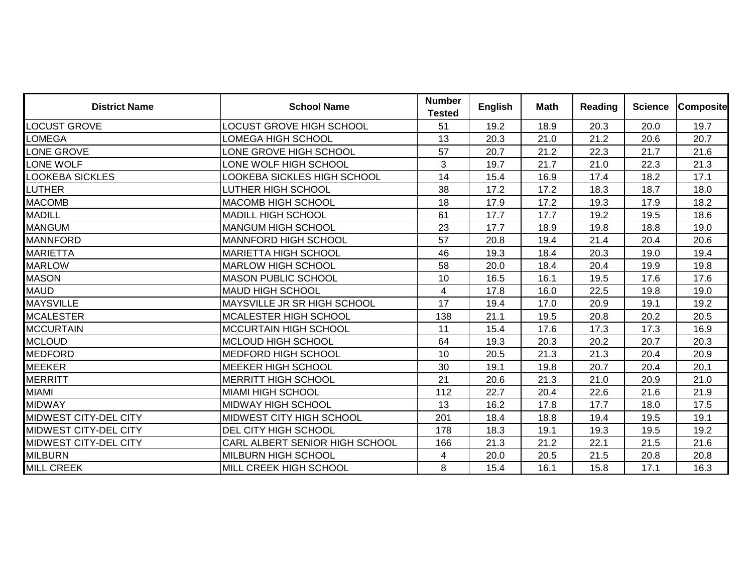| <b>District Name</b>         | <b>School Name</b>                 | <b>Number</b><br><b>Tested</b> | <b>English</b> | <b>Math</b> | <b>Reading</b> | <b>Science</b> | <b>Composite</b> |
|------------------------------|------------------------------------|--------------------------------|----------------|-------------|----------------|----------------|------------------|
| <b>LOCUST GROVE</b>          | <b>LOCUST GROVE HIGH SCHOOL</b>    | 51                             | 19.2           | 18.9        | 20.3           | 20.0           | 19.7             |
| LOMEGA                       | LOMEGA HIGH SCHOOL                 | 13                             | 20.3           | 21.0        | 21.2           | 20.6           | 20.7             |
| ONE GROVE                    | ONE GROVE HIGH SCHOOL              | 57                             | 20.7           | 21.2        | 22.3           | 21.7           | 21.6             |
| ONE WOLF                     | ONE WOLF HIGH SCHOOL               | 3                              | 19.7           | 21.7        | 21.0           | 22.3           | 21.3             |
| <b>LOOKEBA SICKLES</b>       | <b>LOOKEBA SICKLES HIGH SCHOOL</b> | 14                             | 15.4           | 16.9        | 17.4           | 18.2           | 17.1             |
| LUTHER                       | LUTHER HIGH SCHOOL                 | 38                             | 17.2           | 17.2        | 18.3           | 18.7           | 18.0             |
| <b>MACOMB</b>                | <b>MACOMB HIGH SCHOOL</b>          | 18                             | 17.9           | 17.2        | 19.3           | 17.9           | 18.2             |
| <b>MADILL</b>                | <b>MADILL HIGH SCHOOL</b>          | 61                             | 17.7           | 17.7        | 19.2           | 19.5           | 18.6             |
| <b>MANGUM</b>                | <b>MANGUM HIGH SCHOOL</b>          | 23                             | 17.7           | 18.9        | 19.8           | 18.8           | 19.0             |
| <b>MANNFORD</b>              | <b>MANNFORD HIGH SCHOOL</b>        | 57                             | 20.8           | 19.4        | 21.4           | 20.4           | 20.6             |
| <b>MARIETTA</b>              | <b>MARIETTA HIGH SCHOOL</b>        | 46                             | 19.3           | 18.4        | 20.3           | 19.0           | 19.4             |
| <b>MARLOW</b>                | <b>MARLOW HIGH SCHOOL</b>          | 58                             | 20.0           | 18.4        | 20.4           | 19.9           | 19.8             |
| MASON                        | <b>MASON PUBLIC SCHOOL</b>         | 10                             | 16.5           | 16.1        | 19.5           | 17.6           | 17.6             |
| <b>MAUD</b>                  | <b>MAUD HIGH SCHOOL</b>            | 4                              | 17.8           | 16.0        | 22.5           | 19.8           | 19.0             |
| <b>MAYSVILLE</b>             | MAYSVILLE JR SR HIGH SCHOOL        | 17                             | 19.4           | 17.0        | 20.9           | 19.1           | 19.2             |
| <b>MCALESTER</b>             | MCALESTER HIGH SCHOOL              | 138                            | 21.1           | 19.5        | 20.8           | 20.2           | 20.5             |
| <b>MCCURTAIN</b>             | <b>MCCURTAIN HIGH SCHOOL</b>       | 11                             | 15.4           | 17.6        | 17.3           | 17.3           | 16.9             |
| <b>MCLOUD</b>                | MCLOUD HIGH SCHOOL                 | 64                             | 19.3           | 20.3        | 20.2           | 20.7           | 20.3             |
| <b>MEDFORD</b>               | <b>MEDFORD HIGH SCHOOL</b>         | 10                             | 20.5           | 21.3        | 21.3           | 20.4           | 20.9             |
| <b>MEEKER</b>                | <b>MEEKER HIGH SCHOOL</b>          | 30                             | 19.1           | 19.8        | 20.7           | 20.4           | 20.1             |
| <b>MERRITT</b>               | <b>MERRITT HIGH SCHOOL</b>         | 21                             | 20.6           | 21.3        | 21.0           | 20.9           | 21.0             |
| MIAMI                        | <b>MIAMI HIGH SCHOOL</b>           | 112                            | 22.7           | 20.4        | 22.6           | 21.6           | 21.9             |
| <b>MIDWAY</b>                | <b>MIDWAY HIGH SCHOOL</b>          | 13                             | 16.2           | 17.8        | 17.7           | 18.0           | 17.5             |
| MIDWEST CITY-DEL CITY        | <b>MIDWEST CITY HIGH SCHOOL</b>    | 201                            | 18.4           | 18.8        | 19.4           | 19.5           | 19.1             |
| <b>MIDWEST CITY-DEL CITY</b> | <b>DEL CITY HIGH SCHOOL</b>        | 178                            | 18.3           | 19.1        | 19.3           | 19.5           | 19.2             |
| <b>MIDWEST CITY-DEL CITY</b> | CARL ALBERT SENIOR HIGH SCHOOL     | 166                            | 21.3           | 21.2        | 22.1           | 21.5           | 21.6             |
| <b>MILBURN</b>               | <b>MILBURN HIGH SCHOOL</b>         | 4                              | 20.0           | 20.5        | 21.5           | 20.8           | 20.8             |
| <b>MILL CREEK</b>            | MILL CREEK HIGH SCHOOL             | 8                              | 15.4           | 16.1        | 15.8           | 17.1           | 16.3             |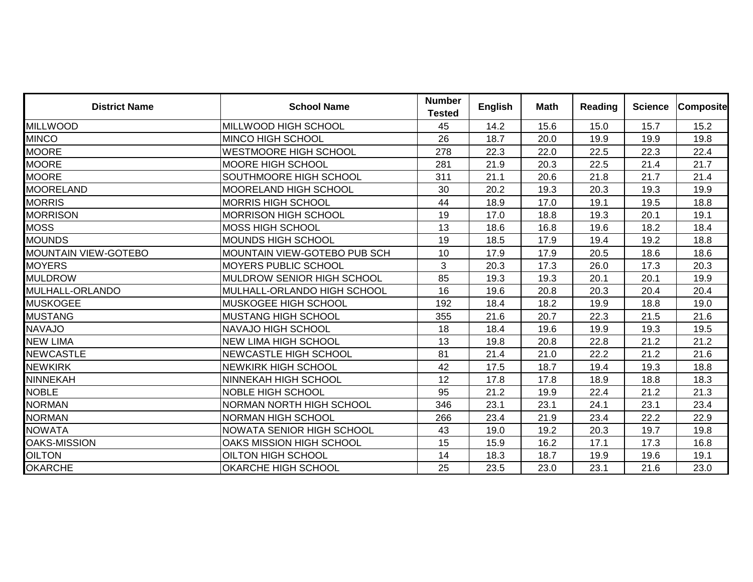| <b>District Name</b>        | <b>School Name</b>                  | <b>Number</b><br><b>Tested</b> | <b>English</b> | <b>Math</b> | <b>Reading</b> | <b>Science</b> | <b>Composite</b> |
|-----------------------------|-------------------------------------|--------------------------------|----------------|-------------|----------------|----------------|------------------|
| <b>MILLWOOD</b>             | MILLWOOD HIGH SCHOOL                | 45                             | 14.2           | 15.6        | 15.0           | 15.7           | 15.2             |
| <b>MINCO</b>                | <b>MINCO HIGH SCHOOL</b>            | 26                             | 18.7           | 20.0        | 19.9           | 19.9           | 19.8             |
| <b>MOORE</b>                | <b>WESTMOORE HIGH SCHOOL</b>        | 278                            | 22.3           | 22.0        | 22.5           | 22.3           | 22.4             |
| <b>MOORE</b>                | <b>MOORE HIGH SCHOOL</b>            | 281                            | 21.9           | 20.3        | 22.5           | 21.4           | 21.7             |
| <b>MOORE</b>                | SOUTHMOORE HIGH SCHOOL              | 311                            | 21.1           | 20.6        | 21.8           | 21.7           | 21.4             |
| MOORELAND                   | <b>MOORELAND HIGH SCHOOL</b>        | 30                             | 20.2           | 19.3        | 20.3           | 19.3           | 19.9             |
| <b>MORRIS</b>               | <b>MORRIS HIGH SCHOOL</b>           | 44                             | 18.9           | 17.0        | 19.1           | 19.5           | 18.8             |
| <b>MORRISON</b>             | <b>MORRISON HIGH SCHOOL</b>         | 19                             | 17.0           | 18.8        | 19.3           | 20.1           | 19.1             |
| <b>MOSS</b>                 | <b>MOSS HIGH SCHOOL</b>             | 13                             | 18.6           | 16.8        | 19.6           | 18.2           | 18.4             |
| MOUNDS                      | IMOUNDS HIGH SCHOOL                 | 19                             | 18.5           | 17.9        | 19.4           | 19.2           | 18.8             |
| <b>MOUNTAIN VIEW-GOTEBO</b> | <b>MOUNTAIN VIEW-GOTEBO PUB SCH</b> | 10                             | 17.9           | 17.9        | 20.5           | 18.6           | 18.6             |
| <b>MOYERS</b>               | <b>MOYERS PUBLIC SCHOOL</b>         | 3                              | 20.3           | 17.3        | 26.0           | 17.3           | 20.3             |
| <b>MULDROW</b>              | <b>MULDROW SENIOR HIGH SCHOOL</b>   | 85                             | 19.3           | 19.3        | 20.1           | 20.1           | 19.9             |
| MULHALL-ORLANDO             | MULHALL-ORLANDO HIGH SCHOOL         | 16                             | 19.6           | 20.8        | 20.3           | 20.4           | 20.4             |
| <b>MUSKOGEE</b>             | <b>MUSKOGEE HIGH SCHOOL</b>         | 192                            | 18.4           | 18.2        | 19.9           | 18.8           | 19.0             |
| <b>MUSTANG</b>              | <b>MUSTANG HIGH SCHOOL</b>          | 355                            | 21.6           | 20.7        | 22.3           | 21.5           | 21.6             |
| NAVAJO                      | <b>NAVAJO HIGH SCHOOL</b>           | 18                             | 18.4           | 19.6        | 19.9           | 19.3           | 19.5             |
| NEW LIMA                    | <b>NEW LIMA HIGH SCHOOL</b>         | 13                             | 19.8           | 20.8        | 22.8           | 21.2           | 21.2             |
| <b>NEWCASTLE</b>            | <b>NEWCASTLE HIGH SCHOOL</b>        | 81                             | 21.4           | 21.0        | 22.2           | 21.2           | 21.6             |
| <b>NEWKIRK</b>              | <b>NEWKIRK HIGH SCHOOL</b>          | 42                             | 17.5           | 18.7        | 19.4           | 19.3           | 18.8             |
| NINNEKAH                    | <b>NINNEKAH HIGH SCHOOL</b>         | 12                             | 17.8           | 17.8        | 18.9           | 18.8           | 18.3             |
| <b>NOBLE</b>                | <b>NOBLE HIGH SCHOOL</b>            | 95                             | 21.2           | 19.9        | 22.4           | 21.2           | 21.3             |
| <b>NORMAN</b>               | <b>NORMAN NORTH HIGH SCHOOL</b>     | 346                            | 23.1           | 23.1        | 24.1           | 23.1           | 23.4             |
| <b>NORMAN</b>               | <b>NORMAN HIGH SCHOOL</b>           | 266                            | 23.4           | 21.9        | 23.4           | 22.2           | 22.9             |
| <b>NOWATA</b>               | INOWATA SENIOR HIGH SCHOOL          | 43                             | 19.0           | 19.2        | 20.3           | 19.7           | 19.8             |
| <b>OAKS-MISSION</b>         | OAKS MISSION HIGH SCHOOL            | 15                             | 15.9           | 16.2        | 17.1           | 17.3           | 16.8             |
| <b>OILTON</b>               | <b>OILTON HIGH SCHOOL</b>           | 14                             | 18.3           | 18.7        | 19.9           | 19.6           | 19.1             |
| <b>OKARCHE</b>              | <b>OKARCHE HIGH SCHOOL</b>          | 25                             | 23.5           | 23.0        | 23.1           | 21.6           | 23.0             |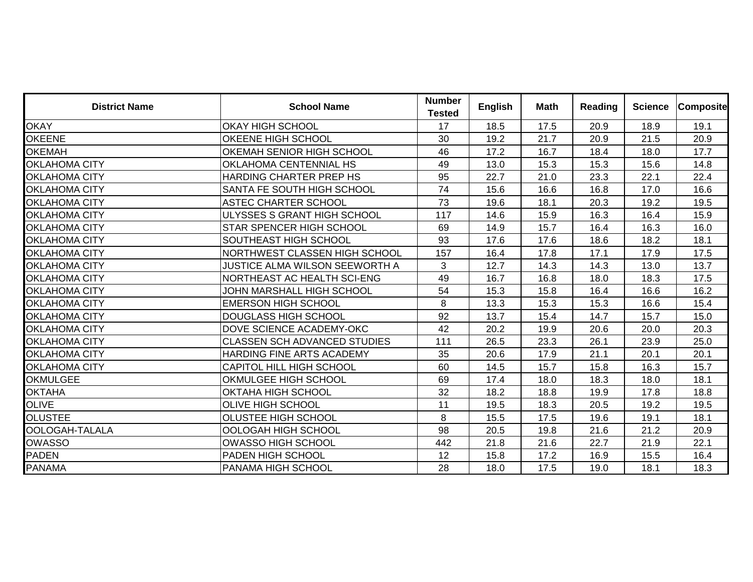| <b>District Name</b> | <b>School Name</b>                  | <b>Number</b><br><b>Tested</b> | <b>English</b> | <b>Math</b> | <b>Reading</b> | <b>Science</b> | <b>Composite</b> |
|----------------------|-------------------------------------|--------------------------------|----------------|-------------|----------------|----------------|------------------|
| <b>OKAY</b>          | <b>OKAY HIGH SCHOOL</b>             | 17                             | 18.5           | 17.5        | 20.9           | 18.9           | 19.1             |
| <b>OKEENE</b>        | OKEENE HIGH SCHOOL                  | 30                             | 19.2           | 21.7        | 20.9           | 21.5           | 20.9             |
| <b>OKEMAH</b>        | OKEMAH SENIOR HIGH SCHOOL           | 46                             | 17.2           | 16.7        | 18.4           | 18.0           | 17.7             |
| <b>OKLAHOMA CITY</b> | OKLAHOMA CENTENNIAL HS              | 49                             | 13.0           | 15.3        | 15.3           | 15.6           | 14.8             |
| <b>OKLAHOMA CITY</b> | HARDING CHARTER PREP HS             | 95                             | 22.7           | 21.0        | 23.3           | 22.1           | 22.4             |
| <b>OKLAHOMA CITY</b> | SANTA FE SOUTH HIGH SCHOOL          | 74                             | 15.6           | 16.6        | 16.8           | 17.0           | 16.6             |
| <b>OKLAHOMA CITY</b> | ASTEC CHARTER SCHOOL                | 73                             | 19.6           | 18.1        | 20.3           | 19.2           | 19.5             |
| <b>OKLAHOMA CITY</b> | ULYSSES S GRANT HIGH SCHOOL         | 117                            | 14.6           | 15.9        | 16.3           | 16.4           | 15.9             |
| <b>OKLAHOMA CITY</b> | <b>STAR SPENCER HIGH SCHOOL</b>     | 69                             | 14.9           | 15.7        | 16.4           | 16.3           | 16.0             |
| <b>OKLAHOMA CITY</b> | SOUTHEAST HIGH SCHOOL               | 93                             | 17.6           | 17.6        | 18.6           | 18.2           | 18.1             |
| <b>OKLAHOMA CITY</b> | NORTHWEST CLASSEN HIGH SCHOOL       | 157                            | 16.4           | 17.8        | 17.1           | 17.9           | 17.5             |
| <b>OKLAHOMA CITY</b> | JUSTICE ALMA WILSON SEEWORTH A      | 3                              | 12.7           | 14.3        | 14.3           | 13.0           | 13.7             |
| <b>OKLAHOMA CITY</b> | NORTHEAST AC HEALTH SCI-ENG         | 49                             | 16.7           | 16.8        | 18.0           | 18.3           | 17.5             |
| <b>OKLAHOMA CITY</b> | JOHN MARSHALL HIGH SCHOOL           | 54                             | 15.3           | 15.8        | 16.4           | 16.6           | 16.2             |
| <b>OKLAHOMA CITY</b> | <b>EMERSON HIGH SCHOOL</b>          | 8                              | 13.3           | 15.3        | 15.3           | 16.6           | 15.4             |
| <b>OKLAHOMA CITY</b> | <b>DOUGLASS HIGH SCHOOL</b>         | 92                             | 13.7           | 15.4        | 14.7           | 15.7           | 15.0             |
| <b>OKLAHOMA CITY</b> | DOVE SCIENCE ACADEMY-OKC            | 42                             | 20.2           | 19.9        | 20.6           | 20.0           | 20.3             |
| <b>OKLAHOMA CITY</b> | <b>CLASSEN SCH ADVANCED STUDIES</b> | 111                            | 26.5           | 23.3        | 26.1           | 23.9           | 25.0             |
| <b>OKLAHOMA CITY</b> | HARDING FINE ARTS ACADEMY           | 35                             | 20.6           | 17.9        | 21.1           | 20.1           | 20.1             |
| <b>OKLAHOMA CITY</b> | CAPITOL HILL HIGH SCHOOL            | 60                             | 14.5           | 15.7        | 15.8           | 16.3           | 15.7             |
| <b>OKMULGEE</b>      | OKMULGEE HIGH SCHOOL                | 69                             | 17.4           | 18.0        | 18.3           | 18.0           | 18.1             |
| <b>OKTAHA</b>        | OKTAHA HIGH SCHOOL                  | 32                             | 18.2           | 18.8        | 19.9           | 17.8           | 18.8             |
| <b>OLIVE</b>         | <b>OLIVE HIGH SCHOOL</b>            | 11                             | 19.5           | 18.3        | 20.5           | 19.2           | 19.5             |
| <b>OLUSTEE</b>       | OLUSTEE HIGH SCHOOL                 | 8                              | 15.5           | 17.5        | 19.6           | 19.1           | 18.1             |
| OOLOGAH-TALALA       | <b>OOLOGAH HIGH SCHOOL</b>          | 98                             | 20.5           | 19.8        | 21.6           | 21.2           | 20.9             |
| <b>OWASSO</b>        | <b>OWASSO HIGH SCHOOL</b>           | 442                            | 21.8           | 21.6        | 22.7           | 21.9           | 22.1             |
| <b>PADEN</b>         | PADEN HIGH SCHOOL                   | 12                             | 15.8           | 17.2        | 16.9           | 15.5           | 16.4             |
| <b>PANAMA</b>        | PANAMA HIGH SCHOOL                  | 28                             | 18.0           | 17.5        | 19.0           | 18.1           | 18.3             |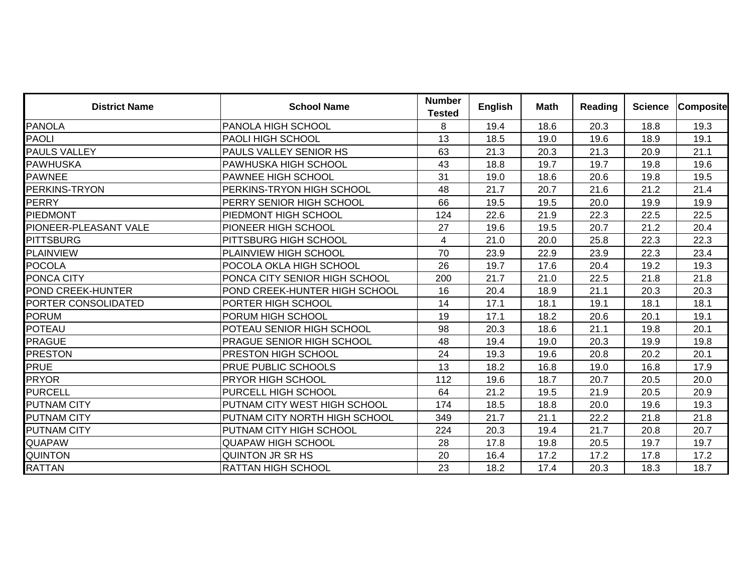| <b>District Name</b>  | <b>School Name</b>               | <b>Number</b><br><b>Tested</b> | <b>English</b> | <b>Math</b> | <b>Reading</b> | <b>Science</b> | <b>Composite</b> |
|-----------------------|----------------------------------|--------------------------------|----------------|-------------|----------------|----------------|------------------|
| <b>PANOLA</b>         | <b>PANOLA HIGH SCHOOL</b>        | 8                              | 19.4           | 18.6        | 20.3           | 18.8           | 19.3             |
| <b>PAOLI</b>          | <b>PAOLI HIGH SCHOOL</b>         | 13                             | 18.5           | 19.0        | 19.6           | 18.9           | 19.1             |
| <b>PAULS VALLEY</b>   | PAULS VALLEY SENIOR HS           | 63                             | 21.3           | 20.3        | 21.3           | 20.9           | 21.1             |
| PAWHUSKA              | <b>PAWHUSKA HIGH SCHOOL</b>      | 43                             | 18.8           | 19.7        | 19.7           | 19.8           | 19.6             |
| <b>PAWNEE</b>         | <b>PAWNEE HIGH SCHOOL</b>        | 31                             | 19.0           | 18.6        | 20.6           | 19.8           | 19.5             |
| PERKINS-TRYON         | <b>PERKINS-TRYON HIGH SCHOOL</b> | 48                             | 21.7           | 20.7        | 21.6           | 21.2           | 21.4             |
| PERRY                 | PERRY SENIOR HIGH SCHOOL         | 66                             | 19.5           | 19.5        | 20.0           | 19.9           | 19.9             |
| <b>PIEDMONT</b>       | PIEDMONT HIGH SCHOOL             | 124                            | 22.6           | 21.9        | 22.3           | 22.5           | 22.5             |
| PIONEER-PLEASANT VALE | <b>PIONEER HIGH SCHOOL</b>       | 27                             | 19.6           | 19.5        | 20.7           | 21.2           | 20.4             |
| PITTSBURG             | <b>PITTSBURG HIGH SCHOOL</b>     | $\overline{\mathbf{4}}$        | 21.0           | 20.0        | 25.8           | 22.3           | 22.3             |
| <b>PLAINVIEW</b>      | PLAINVIEW HIGH SCHOOL            | 70                             | 23.9           | 22.9        | 23.9           | 22.3           | 23.4             |
| POCOLA                | <b>POCOLA OKLA HIGH SCHOOL</b>   | 26                             | 19.7           | 17.6        | 20.4           | 19.2           | 19.3             |
| PONCA CITY            | PONCA CITY SENIOR HIGH SCHOOL    | 200                            | 21.7           | 21.0        | 22.5           | 21.8           | 21.8             |
| POND CREEK-HUNTER     | POND CREEK-HUNTER HIGH SCHOOL    | 16                             | 20.4           | 18.9        | 21.1           | 20.3           | 20.3             |
| PORTER CONSOLIDATED   | PORTER HIGH SCHOOL               | 14                             | 17.1           | 18.1        | 19.1           | 18.1           | 18.1             |
| <b>PORUM</b>          | PORUM HIGH SCHOOL                | 19                             | 17.1           | 18.2        | 20.6           | 20.1           | 19.1             |
| POTEAU                | POTEAU SENIOR HIGH SCHOOL        | 98                             | 20.3           | 18.6        | 21.1           | 19.8           | 20.1             |
| <b>PRAGUE</b>         | <b>PRAGUE SENIOR HIGH SCHOOL</b> | 48                             | 19.4           | 19.0        | 20.3           | 19.9           | 19.8             |
| <b>PRESTON</b>        | <b>PRESTON HIGH SCHOOL</b>       | 24                             | 19.3           | 19.6        | 20.8           | 20.2           | 20.1             |
| <b>PRUE</b>           | <b>PRUE PUBLIC SCHOOLS</b>       | 13                             | 18.2           | 16.8        | 19.0           | 16.8           | 17.9             |
| <b>PRYOR</b>          | <b>PRYOR HIGH SCHOOL</b>         | 112                            | 19.6           | 18.7        | 20.7           | 20.5           | 20.0             |
| <b>PURCELL</b>        | PURCELL HIGH SCHOOL              | 64                             | 21.2           | 19.5        | 21.9           | 20.5           | 20.9             |
| <b>PUTNAM CITY</b>    | PUTNAM CITY WEST HIGH SCHOOL     | 174                            | 18.5           | 18.8        | 20.0           | 19.6           | 19.3             |
| <b>PUTNAM CITY</b>    | PUTNAM CITY NORTH HIGH SCHOOL    | 349                            | 21.7           | 21.1        | 22.2           | 21.8           | 21.8             |
| <b>PUTNAM CITY</b>    | IPUTNAM CITY HIGH SCHOOL         | 224                            | 20.3           | 19.4        | 21.7           | 20.8           | 20.7             |
| QUAPAW                | <b>QUAPAW HIGH SCHOOL</b>        | 28                             | 17.8           | 19.8        | 20.5           | 19.7           | 19.7             |
| <b>QUINTON</b>        | <b>QUINTON JR SR HS</b>          | 20                             | 16.4           | 17.2        | 17.2           | 17.8           | 17.2             |
| RATTAN                | <b>RATTAN HIGH SCHOOL</b>        | 23                             | 18.2           | 17.4        | 20.3           | 18.3           | 18.7             |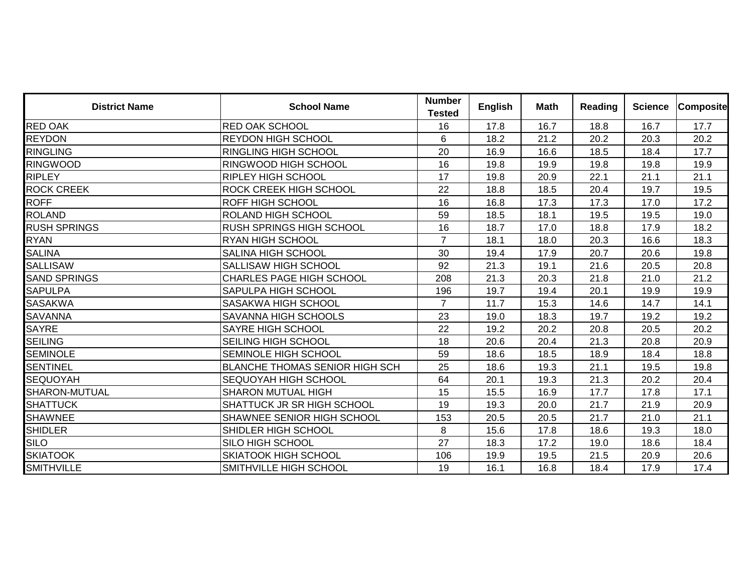| <b>District Name</b> | <b>School Name</b>                    | <b>Number</b><br><b>Tested</b> | <b>English</b> | Math | <b>Reading</b> | <b>Science</b> | <b>Composite</b> |
|----------------------|---------------------------------------|--------------------------------|----------------|------|----------------|----------------|------------------|
| <b>RED OAK</b>       | <b>RED OAK SCHOOL</b>                 | 16                             | 17.8           | 16.7 | 18.8           | 16.7           | 17.7             |
| <b>REYDON</b>        | <b>REYDON HIGH SCHOOL</b>             | 6                              | 18.2           | 21.2 | 20.2           | 20.3           | 20.2             |
| <b>RINGLING</b>      | <b>RINGLING HIGH SCHOOL</b>           | 20                             | 16.9           | 16.6 | 18.5           | 18.4           | 17.7             |
| <b>RINGWOOD</b>      | <b>RINGWOOD HIGH SCHOOL</b>           | 16                             | 19.8           | 19.9 | 19.8           | 19.8           | 19.9             |
| <b>RIPLEY</b>        | <b>RIPLEY HIGH SCHOOL</b>             | 17                             | 19.8           | 20.9 | 22.1           | 21.1           | 21.1             |
| <b>ROCK CREEK</b>    | <b>ROCK CREEK HIGH SCHOOL</b>         | 22                             | 18.8           | 18.5 | 20.4           | 19.7           | 19.5             |
| <b>ROFF</b>          | <b>ROFF HIGH SCHOOL</b>               | 16                             | 16.8           | 17.3 | 17.3           | 17.0           | 17.2             |
| <b>ROLAND</b>        | IROLAND HIGH SCHOOL                   | 59                             | 18.5           | 18.1 | 19.5           | 19.5           | 19.0             |
| <b>RUSH SPRINGS</b>  | <b>RUSH SPRINGS HIGH SCHOOL</b>       | 16                             | 18.7           | 17.0 | 18.8           | 17.9           | 18.2             |
| <b>RYAN</b>          | <b>RYAN HIGH SCHOOL</b>               | $\overline{7}$                 | 18.1           | 18.0 | 20.3           | 16.6           | 18.3             |
| <b>SALINA</b>        | <b>SALINA HIGH SCHOOL</b>             | 30                             | 19.4           | 17.9 | 20.7           | 20.6           | 19.8             |
| <b>SALLISAW</b>      | <b>SALLISAW HIGH SCHOOL</b>           | 92                             | 21.3           | 19.1 | 21.6           | 20.5           | 20.8             |
| <b>SAND SPRINGS</b>  | <b>CHARLES PAGE HIGH SCHOOL</b>       | 208                            | 21.3           | 20.3 | 21.8           | 21.0           | 21.2             |
| <b>SAPULPA</b>       | SAPULPA HIGH SCHOOL                   | 196                            | 19.7           | 19.4 | 20.1           | 19.9           | 19.9             |
| SASAKWA              | <b>SASAKWA HIGH SCHOOL</b>            | $\overline{7}$                 | 11.7           | 15.3 | 14.6           | 14.7           | 14.1             |
| <b>SAVANNA</b>       | SAVANNA HIGH SCHOOLS                  | 23                             | 19.0           | 18.3 | 19.7           | 19.2           | 19.2             |
| <b>SAYRE</b>         | <b>SAYRE HIGH SCHOOL</b>              | 22                             | 19.2           | 20.2 | 20.8           | 20.5           | 20.2             |
| <b>SEILING</b>       | SEILING HIGH SCHOOL                   | 18                             | 20.6           | 20.4 | 21.3           | 20.8           | 20.9             |
| <b>SEMINOLE</b>      | SEMINOLE HIGH SCHOOL                  | 59                             | 18.6           | 18.5 | 18.9           | 18.4           | 18.8             |
| <b>SENTINEL</b>      | <b>BLANCHE THOMAS SENIOR HIGH SCH</b> | 25                             | 18.6           | 19.3 | 21.1           | 19.5           | 19.8             |
| SEQUOYAH             | <b>SEQUOYAH HIGH SCHOOL</b>           | 64                             | 20.1           | 19.3 | 21.3           | 20.2           | 20.4             |
| SHARON-MUTUAL        | <b>SHARON MUTUAL HIGH</b>             | 15                             | 15.5           | 16.9 | 17.7           | 17.8           | 17.1             |
| <b>SHATTUCK</b>      | <b>SHATTUCK JR SR HIGH SCHOOL</b>     | 19                             | 19.3           | 20.0 | 21.7           | 21.9           | 20.9             |
| <b>SHAWNEE</b>       | <b>SHAWNEE SENIOR HIGH SCHOOL</b>     | 153                            | 20.5           | 20.5 | 21.7           | 21.0           | 21.1             |
| <b>SHIDLER</b>       | <b>SHIDLER HIGH SCHOOL</b>            | 8                              | 15.6           | 17.8 | 18.6           | 19.3           | 18.0             |
| <b>SILO</b>          | <b>SILO HIGH SCHOOL</b>               | 27                             | 18.3           | 17.2 | 19.0           | 18.6           | 18.4             |
| <b>SKIATOOK</b>      | <b>SKIATOOK HIGH SCHOOL</b>           | 106                            | 19.9           | 19.5 | 21.5           | 20.9           | 20.6             |
| <b>SMITHVILLE</b>    | SMITHVILLE HIGH SCHOOL                | 19                             | 16.1           | 16.8 | 18.4           | 17.9           | 17.4             |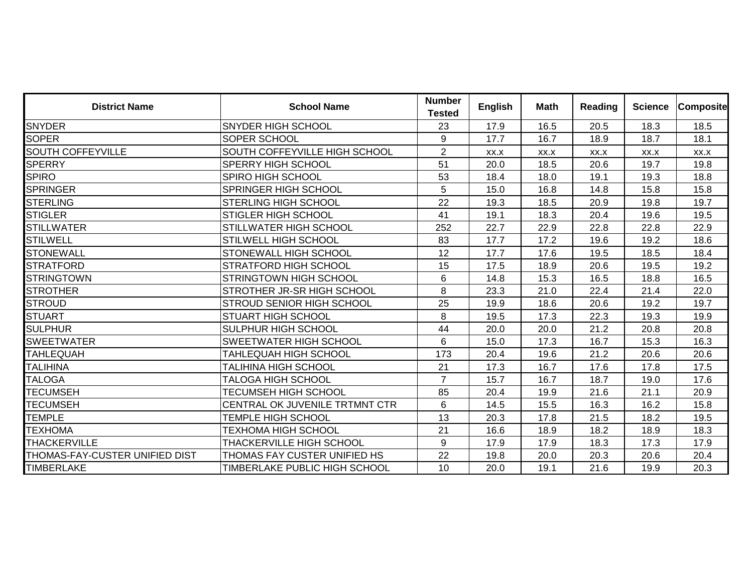| <b>District Name</b>           | <b>School Name</b>               | <b>Number</b><br><b>Tested</b> | <b>English</b> | <b>Math</b> | <b>Reading</b> | <b>Science</b> | <b>Composite</b> |
|--------------------------------|----------------------------------|--------------------------------|----------------|-------------|----------------|----------------|------------------|
| <b>SNYDER</b>                  | <b>SNYDER HIGH SCHOOL</b>        | 23                             | 17.9           | 16.5        | 20.5           | 18.3           | 18.5             |
| <b>SOPER</b>                   | SOPER SCHOOL                     | 9                              | 17.7           | 16.7        | 18.9           | 18.7           | 18.1             |
| <b>SOUTH COFFEYVILLE</b>       | SOUTH COFFEYVILLE HIGH SCHOOL    | $\overline{2}$                 | XX.X           | XX.X        | XX.X           | XX.X           | XX.X             |
| <b>SPERRY</b>                  | <b>SPERRY HIGH SCHOOL</b>        | 51                             | 20.0           | 18.5        | 20.6           | 19.7           | 19.8             |
| <b>SPIRO</b>                   | <b>SPIRO HIGH SCHOOL</b>         | 53                             | 18.4           | 18.0        | 19.1           | 19.3           | 18.8             |
| <b>SPRINGER</b>                | <b>SPRINGER HIGH SCHOOL</b>      | 5                              | 15.0           | 16.8        | 14.8           | 15.8           | 15.8             |
| <b>STERLING</b>                | <b>STERLING HIGH SCHOOL</b>      | 22                             | 19.3           | 18.5        | 20.9           | 19.8           | 19.7             |
| <b>STIGLER</b>                 | <b>STIGLER HIGH SCHOOL</b>       | 41                             | 19.1           | 18.3        | 20.4           | 19.6           | 19.5             |
| <b>STILLWATER</b>              | <b>STILLWATER HIGH SCHOOL</b>    | 252                            | 22.7           | 22.9        | 22.8           | 22.8           | 22.9             |
| <b>STILWELL</b>                | <b>STILWELL HIGH SCHOOL</b>      | 83                             | 17.7           | 17.2        | 19.6           | 19.2           | 18.6             |
| <b>STONEWALL</b>               | <b>STONEWALL HIGH SCHOOL</b>     | 12                             | 17.7           | 17.6        | 19.5           | 18.5           | 18.4             |
| <b>STRATFORD</b>               | <b>STRATFORD HIGH SCHOOL</b>     | 15                             | 17.5           | 18.9        | 20.6           | 19.5           | 19.2             |
| <b>STRINGTOWN</b>              | <b>STRINGTOWN HIGH SCHOOL</b>    | 6                              | 14.8           | 15.3        | 16.5           | 18.8           | 16.5             |
| <b>STROTHER</b>                | STROTHER JR-SR HIGH SCHOOL       | 8                              | 23.3           | 21.0        | 22.4           | 21.4           | 22.0             |
| <b>STROUD</b>                  | <b>STROUD SENIOR HIGH SCHOOL</b> | 25                             | 19.9           | 18.6        | 20.6           | 19.2           | 19.7             |
| <b>STUART</b>                  | <b>STUART HIGH SCHOOL</b>        | 8                              | 19.5           | 17.3        | 22.3           | 19.3           | 19.9             |
| <b>SULPHUR</b>                 | <b>SULPHUR HIGH SCHOOL</b>       | 44                             | 20.0           | 20.0        | 21.2           | 20.8           | 20.8             |
| <b>SWEETWATER</b>              | <b>SWEETWATER HIGH SCHOOL</b>    | 6                              | 15.0           | 17.3        | 16.7           | 15.3           | 16.3             |
| <b>TAHLEQUAH</b>               | TAHLEQUAH HIGH SCHOOL            | 173                            | 20.4           | 19.6        | 21.2           | 20.6           | 20.6             |
| <b>TALIHINA</b>                | <b>TALIHINA HIGH SCHOOL</b>      | 21                             | 17.3           | 16.7        | 17.6           | 17.8           | 17.5             |
| <b>TALOGA</b>                  | <b>TALOGA HIGH SCHOOL</b>        | $\overline{7}$                 | 15.7           | 16.7        | 18.7           | 19.0           | 17.6             |
| <b>TECUMSEH</b>                | <b>TECUMSEH HIGH SCHOOL</b>      | 85                             | 20.4           | 19.9        | 21.6           | 21.1           | 20.9             |
| <b>TECUMSEH</b>                | CENTRAL OK JUVENILE TRTMNT CTR   | 6                              | 14.5           | 15.5        | 16.3           | 16.2           | 15.8             |
| <b>TEMPLE</b>                  | <b>TEMPLE HIGH SCHOOL</b>        | 13                             | 20.3           | 17.8        | 21.5           | 18.2           | 19.5             |
| <b>TEXHOMA</b>                 | <b>TEXHOMA HIGH SCHOOL</b>       | 21                             | 16.6           | 18.9        | 18.2           | 18.9           | 18.3             |
| THACKERVILLE                   | THACKERVILLE HIGH SCHOOL         | 9                              | 17.9           | 17.9        | 18.3           | 17.3           | 17.9             |
| THOMAS-FAY-CUSTER UNIFIED DIST | THOMAS FAY CUSTER UNIFIED HS     | 22                             | 19.8           | 20.0        | 20.3           | 20.6           | 20.4             |
| <b>TIMBERLAKE</b>              | TIMBERLAKE PUBLIC HIGH SCHOOL    | 10                             | 20.0           | 19.1        | 21.6           | 19.9           | 20.3             |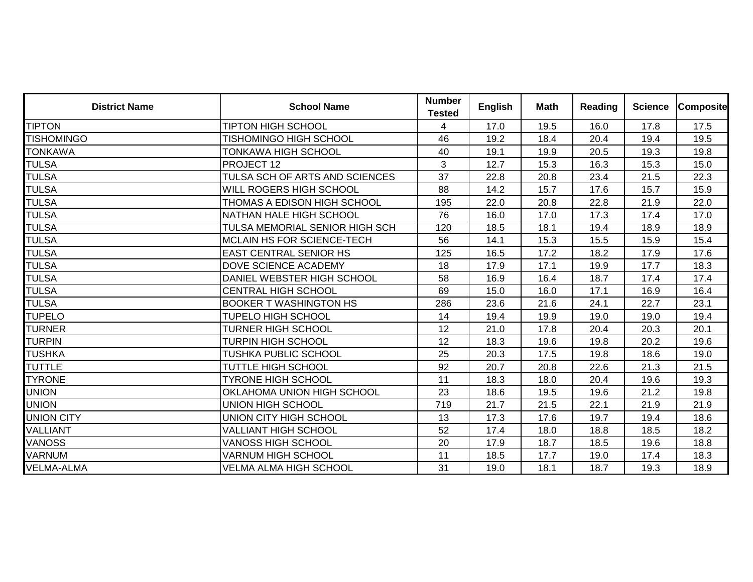| <b>District Name</b> | <b>School Name</b>                | <b>Number</b><br><b>Tested</b> | <b>English</b> | Math | Reading | <b>Science</b> | <b>Composite</b> |
|----------------------|-----------------------------------|--------------------------------|----------------|------|---------|----------------|------------------|
| <b>TIPTON</b>        | <b>TIPTON HIGH SCHOOL</b>         | 4                              | 17.0           | 19.5 | 16.0    | 17.8           | 17.5             |
| <b>TISHOMINGO</b>    | <b>TISHOMINGO HIGH SCHOOL</b>     | 46                             | 19.2           | 18.4 | 20.4    | 19.4           | 19.5             |
| <b>TONKAWA</b>       | <b>TONKAWA HIGH SCHOOL</b>        | 40                             | 19.1           | 19.9 | 20.5    | 19.3           | 19.8             |
| <b>TULSA</b>         | PROJECT 12                        | 3                              | 12.7           | 15.3 | 16.3    | 15.3           | 15.0             |
| <b>TULSA</b>         | TULSA SCH OF ARTS AND SCIENCES    | 37                             | 22.8           | 20.8 | 23.4    | 21.5           | 22.3             |
| <b>TULSA</b>         | WILL ROGERS HIGH SCHOOL           | 88                             | 14.2           | 15.7 | 17.6    | 15.7           | 15.9             |
| <b>TULSA</b>         | THOMAS A EDISON HIGH SCHOOL       | 195                            | 22.0           | 20.8 | 22.8    | 21.9           | 22.0             |
| <b>TULSA</b>         | <b>NATHAN HALE HIGH SCHOOL</b>    | 76                             | 16.0           | 17.0 | 17.3    | 17.4           | 17.0             |
| <b>TULSA</b>         | TULSA MEMORIAL SENIOR HIGH SCH    | 120                            | 18.5           | 18.1 | 19.4    | 18.9           | 18.9             |
| <b>TULSA</b>         | <b>MCLAIN HS FOR SCIENCE-TECH</b> | 56                             | 14.1           | 15.3 | 15.5    | 15.9           | 15.4             |
| <b>TULSA</b>         | <b>EAST CENTRAL SENIOR HS</b>     | 125                            | 16.5           | 17.2 | 18.2    | 17.9           | 17.6             |
| <b>TULSA</b>         | DOVE SCIENCE ACADEMY              | 18                             | 17.9           | 17.1 | 19.9    | 17.7           | 18.3             |
| <b>TULSA</b>         | DANIEL WEBSTER HIGH SCHOOL        | 58                             | 16.9           | 16.4 | 18.7    | 17.4           | 17.4             |
| <b>TULSA</b>         | <b>CENTRAL HIGH SCHOOL</b>        | 69                             | 15.0           | 16.0 | 17.1    | 16.9           | 16.4             |
| <b>TULSA</b>         | <b>BOOKER T WASHINGTON HS</b>     | 286                            | 23.6           | 21.6 | 24.1    | 22.7           | 23.1             |
| <b>TUPELO</b>        | <b>TUPELO HIGH SCHOOL</b>         | 14                             | 19.4           | 19.9 | 19.0    | 19.0           | 19.4             |
| TURNER               | <b>TURNER HIGH SCHOOL</b>         | 12                             | 21.0           | 17.8 | 20.4    | 20.3           | 20.1             |
| <b>TURPIN</b>        | <b>TURPIN HIGH SCHOOL</b>         | 12                             | 18.3           | 19.6 | 19.8    | 20.2           | 19.6             |
| <b>TUSHKA</b>        | TUSHKA PUBLIC SCHOOL              | 25                             | 20.3           | 17.5 | 19.8    | 18.6           | 19.0             |
| <b>TUTTLE</b>        | <b>TUTTLE HIGH SCHOOL</b>         | 92                             | 20.7           | 20.8 | 22.6    | 21.3           | 21.5             |
| <b>TYRONE</b>        | <b>TYRONE HIGH SCHOOL</b>         | 11                             | 18.3           | 18.0 | 20.4    | 19.6           | 19.3             |
| UNION                | OKLAHOMA UNION HIGH SCHOOL        | 23                             | 18.6           | 19.5 | 19.6    | 21.2           | 19.8             |
| <b>UNION</b>         | UNION HIGH SCHOOL                 | 719                            | 21.7           | 21.5 | 22.1    | 21.9           | 21.9             |
| <b>UNION CITY</b>    | UNION CITY HIGH SCHOOL            | 13                             | 17.3           | 17.6 | 19.7    | 19.4           | 18.6             |
| VALLIANT             | <b>VALLIANT HIGH SCHOOL</b>       | 52                             | 17.4           | 18.0 | 18.8    | 18.5           | 18.2             |
| VANOSS               | <b>VANOSS HIGH SCHOOL</b>         | 20                             | 17.9           | 18.7 | 18.5    | 19.6           | 18.8             |
| VARNUM               | <b>VARNUM HIGH SCHOOL</b>         | 11                             | 18.5           | 17.7 | 19.0    | 17.4           | 18.3             |
| VELMA-ALMA           | <b>VELMA ALMA HIGH SCHOOL</b>     | 31                             | 19.0           | 18.1 | 18.7    | 19.3           | 18.9             |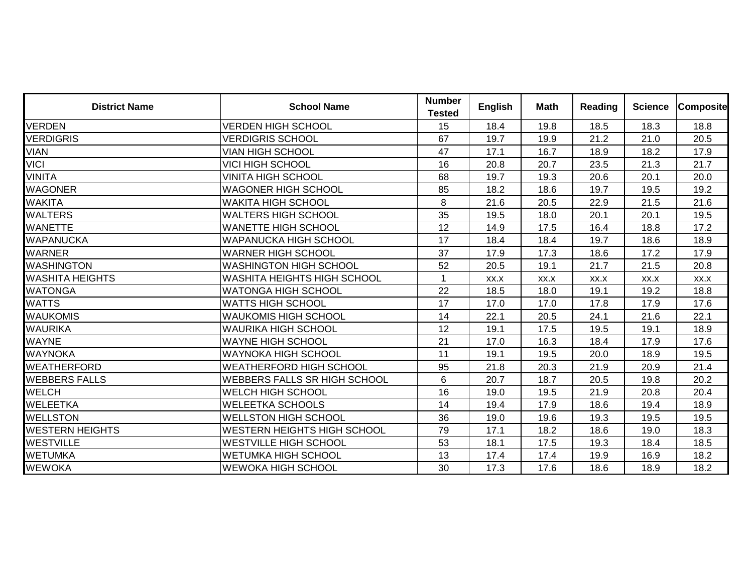| <b>District Name</b>   | <b>School Name</b>                  | <b>Number</b><br><b>Tested</b> | <b>English</b> | <b>Math</b> | <b>Reading</b> | <b>Science</b> | <b>Composite</b> |
|------------------------|-------------------------------------|--------------------------------|----------------|-------------|----------------|----------------|------------------|
| VERDEN                 | <b>VERDEN HIGH SCHOOL</b>           | 15                             | 18.4           | 19.8        | 18.5           | 18.3           | 18.8             |
| <b>VERDIGRIS</b>       | <b>VERDIGRIS SCHOOL</b>             | 67                             | 19.7           | 19.9        | 21.2           | 21.0           | 20.5             |
| VIAN                   | <b>VIAN HIGH SCHOOL</b>             | 47                             | 17.1           | 16.7        | 18.9           | 18.2           | 17.9             |
| <b>VICI</b>            | VICI HIGH SCHOOL                    | 16                             | 20.8           | 20.7        | 23.5           | 21.3           | 21.7             |
| VINITA                 | <b>VINITA HIGH SCHOOL</b>           | 68                             | 19.7           | 19.3        | 20.6           | 20.1           | 20.0             |
| WAGONER                | <b>WAGONER HIGH SCHOOL</b>          | 85                             | 18.2           | 18.6        | 19.7           | 19.5           | 19.2             |
| <b>WAKITA</b>          | <b>WAKITA HIGH SCHOOL</b>           | 8                              | 21.6           | 20.5        | 22.9           | 21.5           | 21.6             |
| WALTERS                | <b>WALTERS HIGH SCHOOL</b>          | 35                             | 19.5           | 18.0        | 20.1           | 20.1           | 19.5             |
| <b>WANETTE</b>         | <b>WANETTE HIGH SCHOOL</b>          | 12                             | 14.9           | 17.5        | 16.4           | 18.8           | 17.2             |
| WAPANUCKA              | <b>WAPANUCKA HIGH SCHOOL</b>        | 17                             | 18.4           | 18.4        | 19.7           | 18.6           | 18.9             |
| WARNER                 | <b>WARNER HIGH SCHOOL</b>           | 37                             | 17.9           | 17.3        | 18.6           | 17.2           | 17.9             |
| WASHINGTON             | IWASHINGTON HIGH SCHOOL             | 52                             | 20.5           | 19.1        | 21.7           | 21.5           | 20.8             |
| WASHITA HEIGHTS        | <b>WASHITA HEIGHTS HIGH SCHOOL</b>  | $\mathbf 1$                    | XX.X           | XX.X        | XX.X           | XX.X           | XX.X             |
| WATONGA                | <b>WATONGA HIGH SCHOOL</b>          | 22                             | 18.5           | 18.0        | 19.1           | 19.2           | 18.8             |
| <b>WATTS</b>           | <b>WATTS HIGH SCHOOL</b>            | 17                             | 17.0           | 17.0        | 17.8           | 17.9           | 17.6             |
| <b>WAUKOMIS</b>        | <b>WAUKOMIS HIGH SCHOOL</b>         | 14                             | 22.1           | 20.5        | 24.1           | 21.6           | 22.1             |
| WAURIKA                | <b>WAURIKA HIGH SCHOOL</b>          | 12                             | 19.1           | 17.5        | 19.5           | 19.1           | 18.9             |
| WAYNE                  | <b>WAYNE HIGH SCHOOL</b>            | 21                             | 17.0           | 16.3        | 18.4           | 17.9           | 17.6             |
| WAYNOKA                | <b>WAYNOKA HIGH SCHOOL</b>          | 11                             | 19.1           | 19.5        | 20.0           | 18.9           | 19.5             |
| WEATHERFORD            | <b>WEATHERFORD HIGH SCHOOL</b>      | 95                             | 21.8           | 20.3        | 21.9           | 20.9           | 21.4             |
| <b>WEBBERS FALLS</b>   | <b>WEBBERS FALLS SR HIGH SCHOOL</b> | 6                              | 20.7           | 18.7        | 20.5           | 19.8           | 20.2             |
| <b>WELCH</b>           | <b>WELCH HIGH SCHOOL</b>            | 16                             | 19.0           | 19.5        | 21.9           | 20.8           | 20.4             |
| <b>WELEETKA</b>        | <b>WELEETKA SCHOOLS</b>             | 14                             | 19.4           | 17.9        | 18.6           | 19.4           | 18.9             |
| <b>WELLSTON</b>        | <b>WELLSTON HIGH SCHOOL</b>         | 36                             | 19.0           | 19.6        | 19.3           | 19.5           | 19.5             |
| <b>WESTERN HEIGHTS</b> | <b>WESTERN HEIGHTS HIGH SCHOOL</b>  | 79                             | 17.1           | 18.2        | 18.6           | 19.0           | 18.3             |
| WESTVILLE              | <b>WESTVILLE HIGH SCHOOL</b>        | 53                             | 18.1           | 17.5        | 19.3           | 18.4           | 18.5             |
| WETUMKA                | <b>WETUMKA HIGH SCHOOL</b>          | 13                             | 17.4           | 17.4        | 19.9           | 16.9           | 18.2             |
| WEWOKA                 | <b>WEWOKA HIGH SCHOOL</b>           | 30                             | 17.3           | 17.6        | 18.6           | 18.9           | 18.2             |